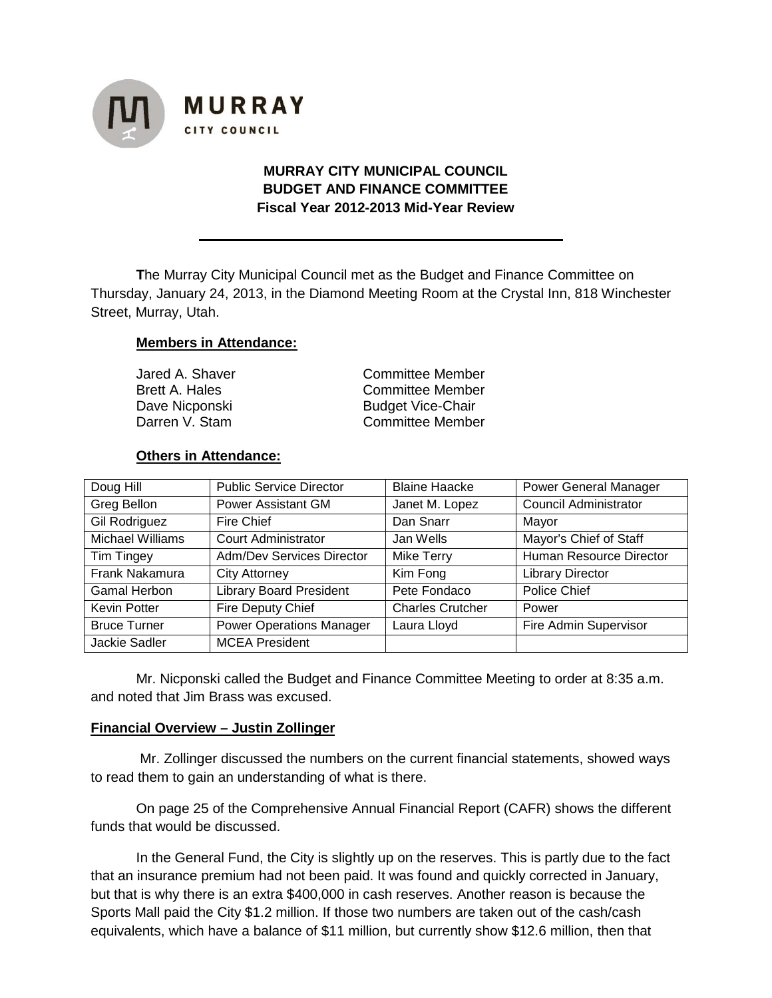

# **MURRAY CITY MUNICIPAL COUNCIL BUDGET AND FINANCE COMMITTEE Fiscal Year 2012-2013 Mid-Year Review**

**T**he Murray City Municipal Council met as the Budget and Finance Committee on Thursday, January 24, 2013, in the Diamond Meeting Room at the Crystal Inn, 818 Winchester Street, Murray, Utah.

### **Members in Attendance:**

Dave Nicponski Budget Vice-Chair

Jared A. Shaver **Committee Member** Brett A. Hales **Committee Member** Darren V. Stam Committee Member

### **Others in Attendance:**

| Doug Hill            | <b>Public Service Director</b>   | <b>Blaine Haacke</b>    | <b>Power General Manager</b> |
|----------------------|----------------------------------|-------------------------|------------------------------|
| Greg Bellon          | <b>Power Assistant GM</b>        | Janet M. Lopez          | <b>Council Administrator</b> |
| <b>Gil Rodriguez</b> | Fire Chief                       | Dan Snarr               | Mayor                        |
| Michael Williams     | <b>Court Administrator</b>       | Jan Wells               | Mayor's Chief of Staff       |
| Tim Tingey           | <b>Adm/Dev Services Director</b> | <b>Mike Terry</b>       | Human Resource Director      |
| Frank Nakamura       | <b>City Attorney</b>             | Kim Fong                | <b>Library Director</b>      |
| <b>Gamal Herbon</b>  | <b>Library Board President</b>   | Pete Fondaco            | Police Chief                 |
| <b>Kevin Potter</b>  | Fire Deputy Chief                | <b>Charles Crutcher</b> | Power                        |
| <b>Bruce Turner</b>  | <b>Power Operations Manager</b>  | Laura Lloyd             | Fire Admin Supervisor        |
| Jackie Sadler        | <b>MCEA President</b>            |                         |                              |

Mr. Nicponski called the Budget and Finance Committee Meeting to order at 8:35 a.m. and noted that Jim Brass was excused.

### **Financial Overview – Justin Zollinger**

Mr. Zollinger discussed the numbers on the current financial statements, showed ways to read them to gain an understanding of what is there.

On page 25 of the Comprehensive Annual Financial Report (CAFR) shows the different funds that would be discussed.

In the General Fund, the City is slightly up on the reserves. This is partly due to the fact that an insurance premium had not been paid. It was found and quickly corrected in January, but that is why there is an extra \$400,000 in cash reserves. Another reason is because the Sports Mall paid the City \$1.2 million. If those two numbers are taken out of the cash/cash equivalents, which have a balance of \$11 million, but currently show \$12.6 million, then that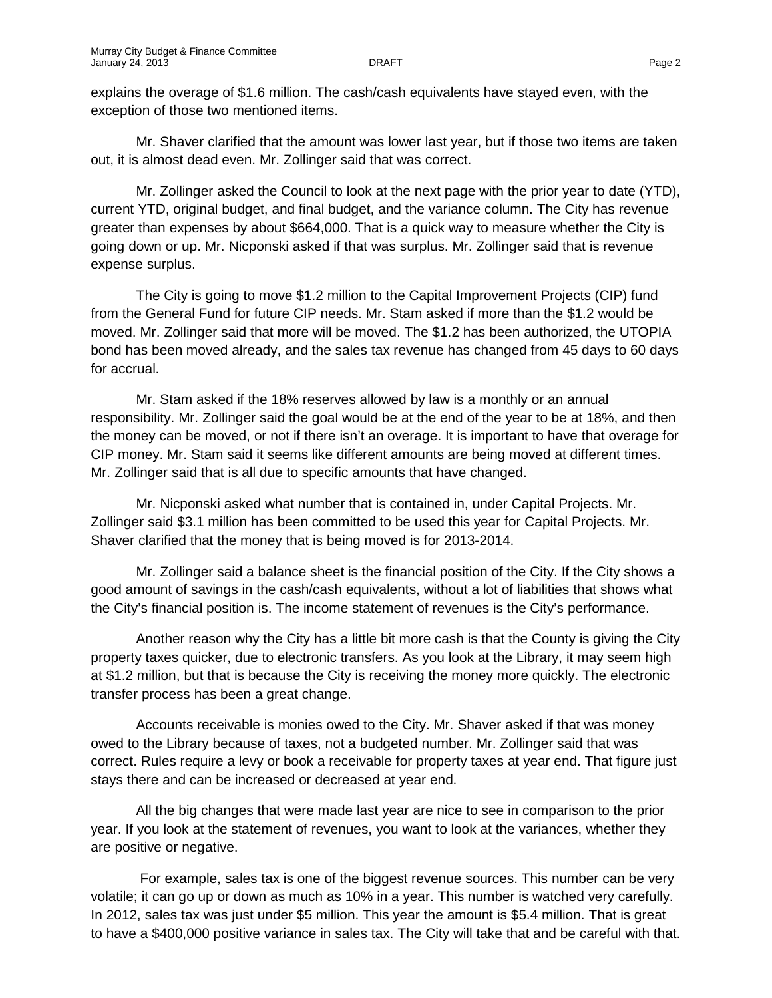explains the overage of \$1.6 million. The cash/cash equivalents have stayed even, with the exception of those two mentioned items.

Mr. Shaver clarified that the amount was lower last year, but if those two items are taken out, it is almost dead even. Mr. Zollinger said that was correct.

Mr. Zollinger asked the Council to look at the next page with the prior year to date (YTD), current YTD, original budget, and final budget, and the variance column. The City has revenue greater than expenses by about \$664,000. That is a quick way to measure whether the City is going down or up. Mr. Nicponski asked if that was surplus. Mr. Zollinger said that is revenue expense surplus.

The City is going to move \$1.2 million to the Capital Improvement Projects (CIP) fund from the General Fund for future CIP needs. Mr. Stam asked if more than the \$1.2 would be moved. Mr. Zollinger said that more will be moved. The \$1.2 has been authorized, the UTOPIA bond has been moved already, and the sales tax revenue has changed from 45 days to 60 days for accrual.

Mr. Stam asked if the 18% reserves allowed by law is a monthly or an annual responsibility. Mr. Zollinger said the goal would be at the end of the year to be at 18%, and then the money can be moved, or not if there isn't an overage. It is important to have that overage for CIP money. Mr. Stam said it seems like different amounts are being moved at different times. Mr. Zollinger said that is all due to specific amounts that have changed.

Mr. Nicponski asked what number that is contained in, under Capital Projects. Mr. Zollinger said \$3.1 million has been committed to be used this year for Capital Projects. Mr. Shaver clarified that the money that is being moved is for 2013-2014.

Mr. Zollinger said a balance sheet is the financial position of the City. If the City shows a good amount of savings in the cash/cash equivalents, without a lot of liabilities that shows what the City's financial position is. The income statement of revenues is the City's performance.

Another reason why the City has a little bit more cash is that the County is giving the City property taxes quicker, due to electronic transfers. As you look at the Library, it may seem high at \$1.2 million, but that is because the City is receiving the money more quickly. The electronic transfer process has been a great change.

Accounts receivable is monies owed to the City. Mr. Shaver asked if that was money owed to the Library because of taxes, not a budgeted number. Mr. Zollinger said that was correct. Rules require a levy or book a receivable for property taxes at year end. That figure just stays there and can be increased or decreased at year end.

All the big changes that were made last year are nice to see in comparison to the prior year. If you look at the statement of revenues, you want to look at the variances, whether they are positive or negative.

For example, sales tax is one of the biggest revenue sources. This number can be very volatile; it can go up or down as much as 10% in a year. This number is watched very carefully. In 2012, sales tax was just under \$5 million. This year the amount is \$5.4 million. That is great to have a \$400,000 positive variance in sales tax. The City will take that and be careful with that.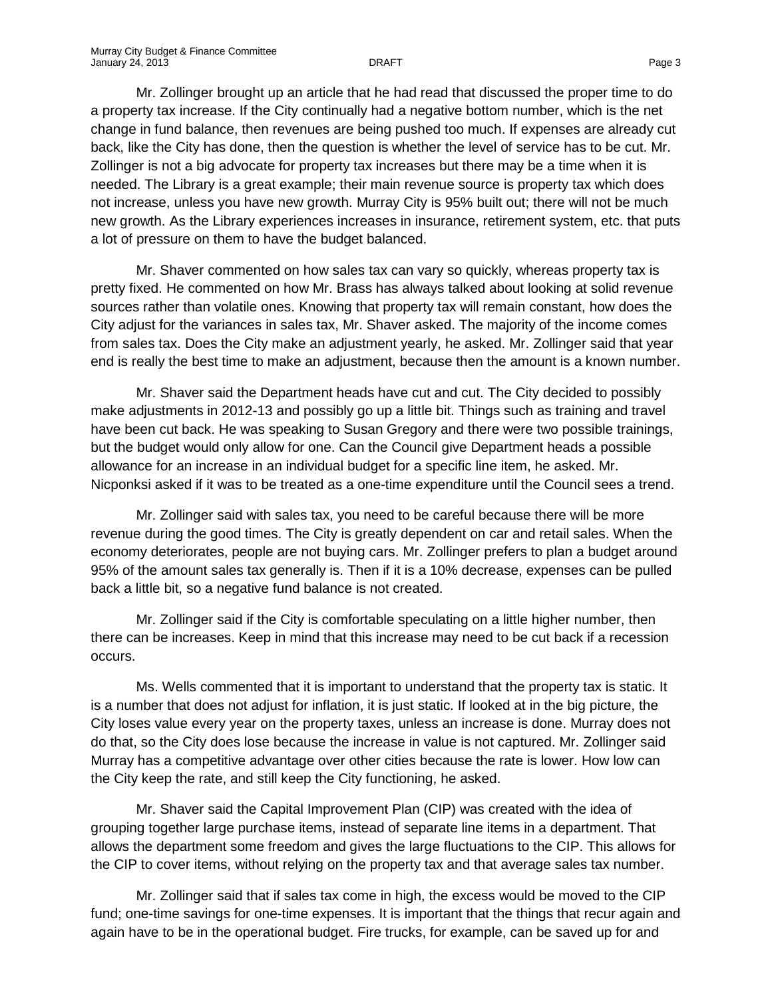Mr. Zollinger brought up an article that he had read that discussed the proper time to do a property tax increase. If the City continually had a negative bottom number, which is the net change in fund balance, then revenues are being pushed too much. If expenses are already cut back, like the City has done, then the question is whether the level of service has to be cut. Mr. Zollinger is not a big advocate for property tax increases but there may be a time when it is needed. The Library is a great example; their main revenue source is property tax which does not increase, unless you have new growth. Murray City is 95% built out; there will not be much new growth. As the Library experiences increases in insurance, retirement system, etc. that puts a lot of pressure on them to have the budget balanced.

Mr. Shaver commented on how sales tax can vary so quickly, whereas property tax is pretty fixed. He commented on how Mr. Brass has always talked about looking at solid revenue sources rather than volatile ones. Knowing that property tax will remain constant, how does the City adjust for the variances in sales tax, Mr. Shaver asked. The majority of the income comes from sales tax. Does the City make an adjustment yearly, he asked. Mr. Zollinger said that year end is really the best time to make an adjustment, because then the amount is a known number.

Mr. Shaver said the Department heads have cut and cut. The City decided to possibly make adjustments in 2012-13 and possibly go up a little bit. Things such as training and travel have been cut back. He was speaking to Susan Gregory and there were two possible trainings, but the budget would only allow for one. Can the Council give Department heads a possible allowance for an increase in an individual budget for a specific line item, he asked. Mr. Nicponksi asked if it was to be treated as a one-time expenditure until the Council sees a trend.

Mr. Zollinger said with sales tax, you need to be careful because there will be more revenue during the good times. The City is greatly dependent on car and retail sales. When the economy deteriorates, people are not buying cars. Mr. Zollinger prefers to plan a budget around 95% of the amount sales tax generally is. Then if it is a 10% decrease, expenses can be pulled back a little bit, so a negative fund balance is not created.

Mr. Zollinger said if the City is comfortable speculating on a little higher number, then there can be increases. Keep in mind that this increase may need to be cut back if a recession occurs.

Ms. Wells commented that it is important to understand that the property tax is static. It is a number that does not adjust for inflation, it is just static. If looked at in the big picture, the City loses value every year on the property taxes, unless an increase is done. Murray does not do that, so the City does lose because the increase in value is not captured. Mr. Zollinger said Murray has a competitive advantage over other cities because the rate is lower. How low can the City keep the rate, and still keep the City functioning, he asked.

Mr. Shaver said the Capital Improvement Plan (CIP) was created with the idea of grouping together large purchase items, instead of separate line items in a department. That allows the department some freedom and gives the large fluctuations to the CIP. This allows for the CIP to cover items, without relying on the property tax and that average sales tax number.

Mr. Zollinger said that if sales tax come in high, the excess would be moved to the CIP fund; one-time savings for one-time expenses. It is important that the things that recur again and again have to be in the operational budget. Fire trucks, for example, can be saved up for and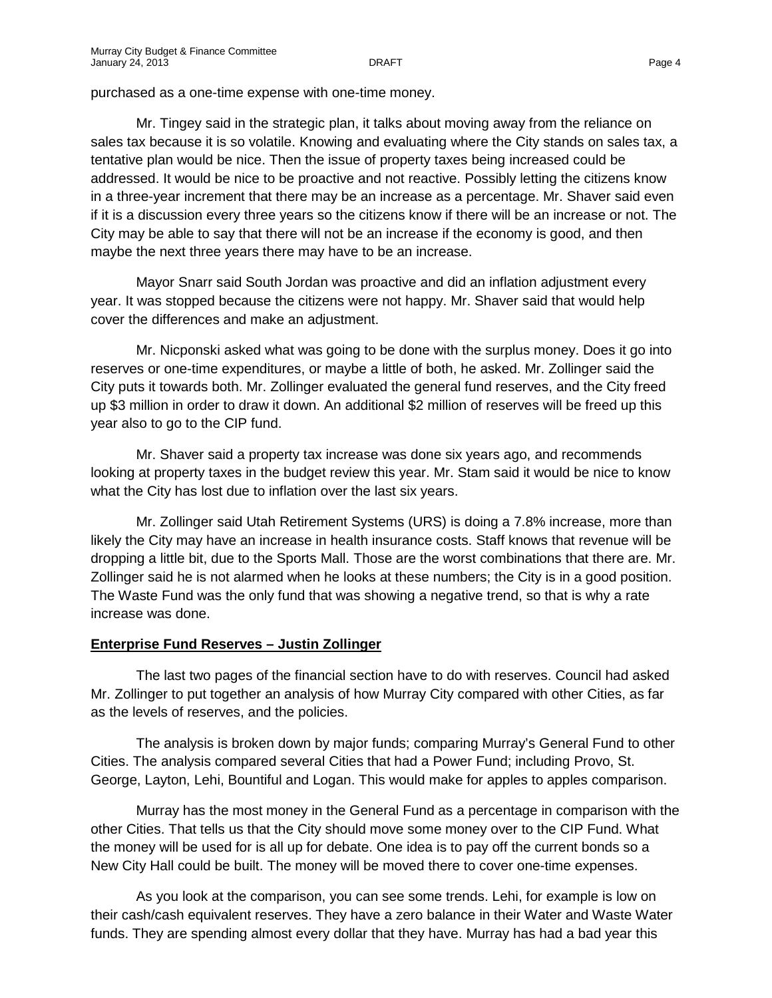purchased as a one-time expense with one-time money.

Mr. Tingey said in the strategic plan, it talks about moving away from the reliance on sales tax because it is so volatile. Knowing and evaluating where the City stands on sales tax, a tentative plan would be nice. Then the issue of property taxes being increased could be addressed. It would be nice to be proactive and not reactive. Possibly letting the citizens know in a three-year increment that there may be an increase as a percentage. Mr. Shaver said even if it is a discussion every three years so the citizens know if there will be an increase or not. The City may be able to say that there will not be an increase if the economy is good, and then maybe the next three years there may have to be an increase.

Mayor Snarr said South Jordan was proactive and did an inflation adjustment every year. It was stopped because the citizens were not happy. Mr. Shaver said that would help cover the differences and make an adjustment.

Mr. Nicponski asked what was going to be done with the surplus money. Does it go into reserves or one-time expenditures, or maybe a little of both, he asked. Mr. Zollinger said the City puts it towards both. Mr. Zollinger evaluated the general fund reserves, and the City freed up \$3 million in order to draw it down. An additional \$2 million of reserves will be freed up this year also to go to the CIP fund.

Mr. Shaver said a property tax increase was done six years ago, and recommends looking at property taxes in the budget review this year. Mr. Stam said it would be nice to know what the City has lost due to inflation over the last six years.

Mr. Zollinger said Utah Retirement Systems (URS) is doing a 7.8% increase, more than likely the City may have an increase in health insurance costs. Staff knows that revenue will be dropping a little bit, due to the Sports Mall. Those are the worst combinations that there are. Mr. Zollinger said he is not alarmed when he looks at these numbers; the City is in a good position. The Waste Fund was the only fund that was showing a negative trend, so that is why a rate increase was done.

### **Enterprise Fund Reserves – Justin Zollinger**

The last two pages of the financial section have to do with reserves. Council had asked Mr. Zollinger to put together an analysis of how Murray City compared with other Cities, as far as the levels of reserves, and the policies.

The analysis is broken down by major funds; comparing Murray's General Fund to other Cities. The analysis compared several Cities that had a Power Fund; including Provo, St. George, Layton, Lehi, Bountiful and Logan. This would make for apples to apples comparison.

Murray has the most money in the General Fund as a percentage in comparison with the other Cities. That tells us that the City should move some money over to the CIP Fund. What the money will be used for is all up for debate. One idea is to pay off the current bonds so a New City Hall could be built. The money will be moved there to cover one-time expenses.

As you look at the comparison, you can see some trends. Lehi, for example is low on their cash/cash equivalent reserves. They have a zero balance in their Water and Waste Water funds. They are spending almost every dollar that they have. Murray has had a bad year this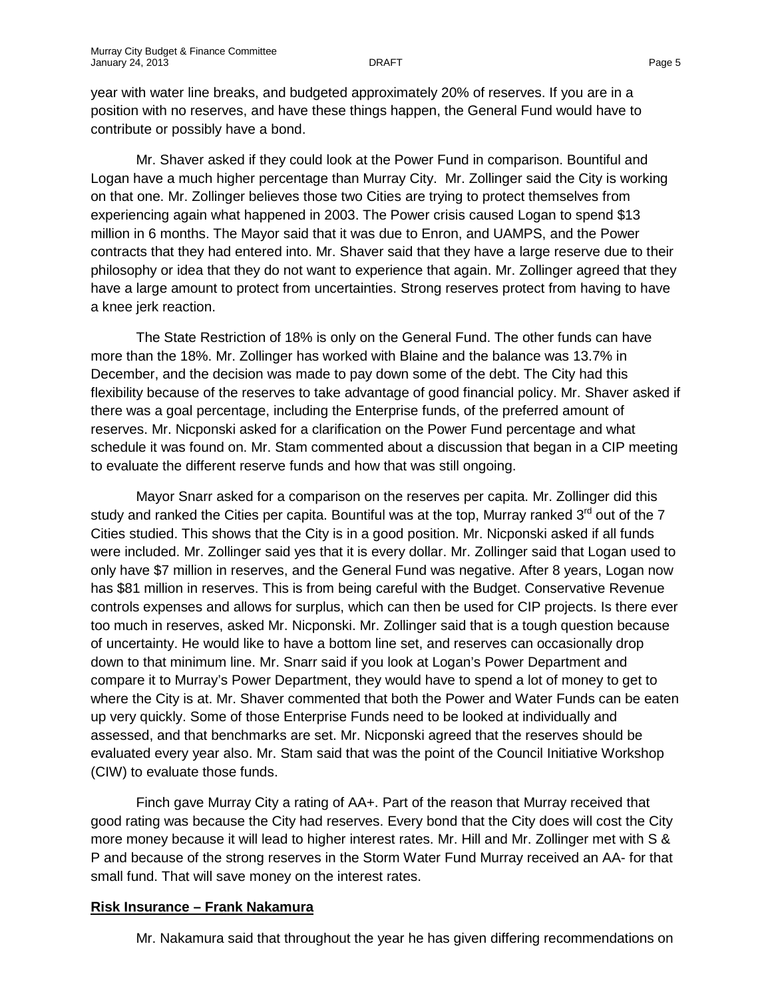year with water line breaks, and budgeted approximately 20% of reserves. If you are in a position with no reserves, and have these things happen, the General Fund would have to contribute or possibly have a bond.

Mr. Shaver asked if they could look at the Power Fund in comparison. Bountiful and Logan have a much higher percentage than Murray City. Mr. Zollinger said the City is working on that one. Mr. Zollinger believes those two Cities are trying to protect themselves from experiencing again what happened in 2003. The Power crisis caused Logan to spend \$13 million in 6 months. The Mayor said that it was due to Enron, and UAMPS, and the Power contracts that they had entered into. Mr. Shaver said that they have a large reserve due to their philosophy or idea that they do not want to experience that again. Mr. Zollinger agreed that they have a large amount to protect from uncertainties. Strong reserves protect from having to have a knee jerk reaction.

The State Restriction of 18% is only on the General Fund. The other funds can have more than the 18%. Mr. Zollinger has worked with Blaine and the balance was 13.7% in December, and the decision was made to pay down some of the debt. The City had this flexibility because of the reserves to take advantage of good financial policy. Mr. Shaver asked if there was a goal percentage, including the Enterprise funds, of the preferred amount of reserves. Mr. Nicponski asked for a clarification on the Power Fund percentage and what schedule it was found on. Mr. Stam commented about a discussion that began in a CIP meeting to evaluate the different reserve funds and how that was still ongoing.

Mayor Snarr asked for a comparison on the reserves per capita. Mr. Zollinger did this study and ranked the Cities per capita. Bountiful was at the top, Murray ranked  $3<sup>rd</sup>$  out of the 7 Cities studied. This shows that the City is in a good position. Mr. Nicponski asked if all funds were included. Mr. Zollinger said yes that it is every dollar. Mr. Zollinger said that Logan used to only have \$7 million in reserves, and the General Fund was negative. After 8 years, Logan now has \$81 million in reserves. This is from being careful with the Budget. Conservative Revenue controls expenses and allows for surplus, which can then be used for CIP projects. Is there ever too much in reserves, asked Mr. Nicponski. Mr. Zollinger said that is a tough question because of uncertainty. He would like to have a bottom line set, and reserves can occasionally drop down to that minimum line. Mr. Snarr said if you look at Logan's Power Department and compare it to Murray's Power Department, they would have to spend a lot of money to get to where the City is at. Mr. Shaver commented that both the Power and Water Funds can be eaten up very quickly. Some of those Enterprise Funds need to be looked at individually and assessed, and that benchmarks are set. Mr. Nicponski agreed that the reserves should be evaluated every year also. Mr. Stam said that was the point of the Council Initiative Workshop (CIW) to evaluate those funds.

Finch gave Murray City a rating of AA+. Part of the reason that Murray received that good rating was because the City had reserves. Every bond that the City does will cost the City more money because it will lead to higher interest rates. Mr. Hill and Mr. Zollinger met with S & P and because of the strong reserves in the Storm Water Fund Murray received an AA- for that small fund. That will save money on the interest rates.

### **Risk Insurance – Frank Nakamura**

Mr. Nakamura said that throughout the year he has given differing recommendations on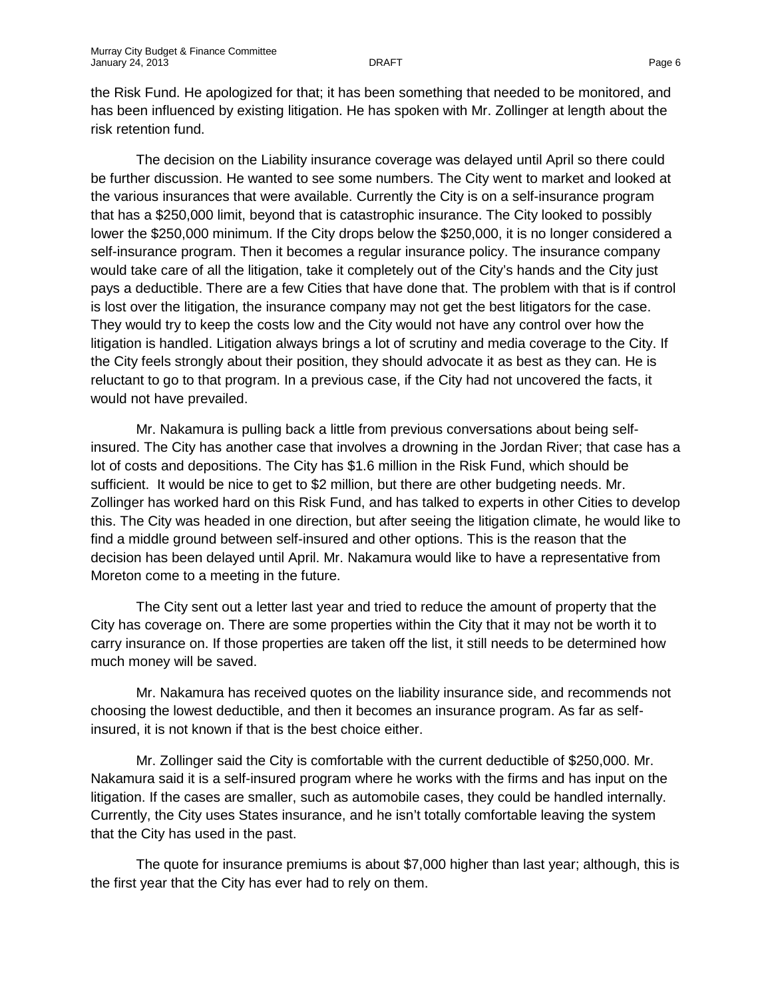the Risk Fund. He apologized for that; it has been something that needed to be monitored, and has been influenced by existing litigation. He has spoken with Mr. Zollinger at length about the risk retention fund.

The decision on the Liability insurance coverage was delayed until April so there could be further discussion. He wanted to see some numbers. The City went to market and looked at the various insurances that were available. Currently the City is on a self-insurance program that has a \$250,000 limit, beyond that is catastrophic insurance. The City looked to possibly lower the \$250,000 minimum. If the City drops below the \$250,000, it is no longer considered a self-insurance program. Then it becomes a regular insurance policy. The insurance company would take care of all the litigation, take it completely out of the City's hands and the City just pays a deductible. There are a few Cities that have done that. The problem with that is if control is lost over the litigation, the insurance company may not get the best litigators for the case. They would try to keep the costs low and the City would not have any control over how the litigation is handled. Litigation always brings a lot of scrutiny and media coverage to the City. If the City feels strongly about their position, they should advocate it as best as they can. He is reluctant to go to that program. In a previous case, if the City had not uncovered the facts, it would not have prevailed.

Mr. Nakamura is pulling back a little from previous conversations about being selfinsured. The City has another case that involves a drowning in the Jordan River; that case has a lot of costs and depositions. The City has \$1.6 million in the Risk Fund, which should be sufficient. It would be nice to get to \$2 million, but there are other budgeting needs. Mr. Zollinger has worked hard on this Risk Fund, and has talked to experts in other Cities to develop this. The City was headed in one direction, but after seeing the litigation climate, he would like to find a middle ground between self-insured and other options. This is the reason that the decision has been delayed until April. Mr. Nakamura would like to have a representative from Moreton come to a meeting in the future.

The City sent out a letter last year and tried to reduce the amount of property that the City has coverage on. There are some properties within the City that it may not be worth it to carry insurance on. If those properties are taken off the list, it still needs to be determined how much money will be saved.

Mr. Nakamura has received quotes on the liability insurance side, and recommends not choosing the lowest deductible, and then it becomes an insurance program. As far as selfinsured, it is not known if that is the best choice either.

Mr. Zollinger said the City is comfortable with the current deductible of \$250,000. Mr. Nakamura said it is a self-insured program where he works with the firms and has input on the litigation. If the cases are smaller, such as automobile cases, they could be handled internally. Currently, the City uses States insurance, and he isn't totally comfortable leaving the system that the City has used in the past.

The quote for insurance premiums is about \$7,000 higher than last year; although, this is the first year that the City has ever had to rely on them.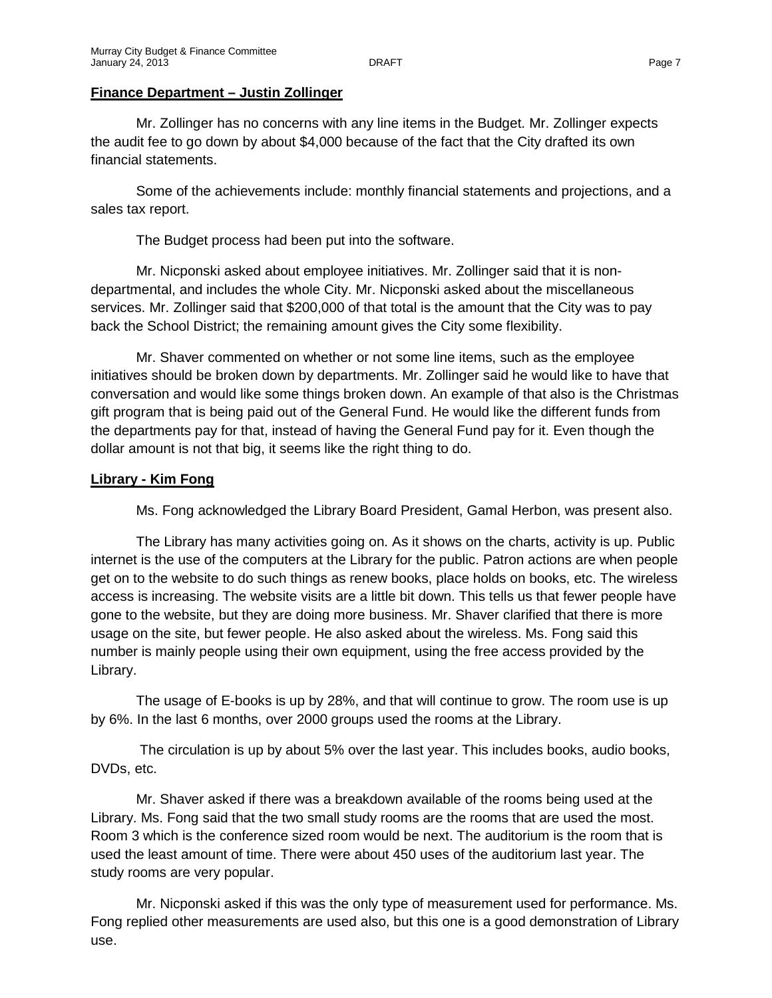## **Finance Department – Justin Zollinger**

Mr. Zollinger has no concerns with any line items in the Budget. Mr. Zollinger expects the audit fee to go down by about \$4,000 because of the fact that the City drafted its own financial statements.

Some of the achievements include: monthly financial statements and projections, and a sales tax report.

The Budget process had been put into the software.

Mr. Nicponski asked about employee initiatives. Mr. Zollinger said that it is nondepartmental, and includes the whole City. Mr. Nicponski asked about the miscellaneous services. Mr. Zollinger said that \$200,000 of that total is the amount that the City was to pay back the School District; the remaining amount gives the City some flexibility.

Mr. Shaver commented on whether or not some line items, such as the employee initiatives should be broken down by departments. Mr. Zollinger said he would like to have that conversation and would like some things broken down. An example of that also is the Christmas gift program that is being paid out of the General Fund. He would like the different funds from the departments pay for that, instead of having the General Fund pay for it. Even though the dollar amount is not that big, it seems like the right thing to do.

## **Library - Kim Fong**

Ms. Fong acknowledged the Library Board President, Gamal Herbon, was present also.

The Library has many activities going on. As it shows on the charts, activity is up. Public internet is the use of the computers at the Library for the public. Patron actions are when people get on to the website to do such things as renew books, place holds on books, etc. The wireless access is increasing. The website visits are a little bit down. This tells us that fewer people have gone to the website, but they are doing more business. Mr. Shaver clarified that there is more usage on the site, but fewer people. He also asked about the wireless. Ms. Fong said this number is mainly people using their own equipment, using the free access provided by the Library.

The usage of E-books is up by 28%, and that will continue to grow. The room use is up by 6%. In the last 6 months, over 2000 groups used the rooms at the Library.

The circulation is up by about 5% over the last year. This includes books, audio books, DVDs, etc.

Mr. Shaver asked if there was a breakdown available of the rooms being used at the Library. Ms. Fong said that the two small study rooms are the rooms that are used the most. Room 3 which is the conference sized room would be next. The auditorium is the room that is used the least amount of time. There were about 450 uses of the auditorium last year. The study rooms are very popular.

Mr. Nicponski asked if this was the only type of measurement used for performance. Ms. Fong replied other measurements are used also, but this one is a good demonstration of Library use.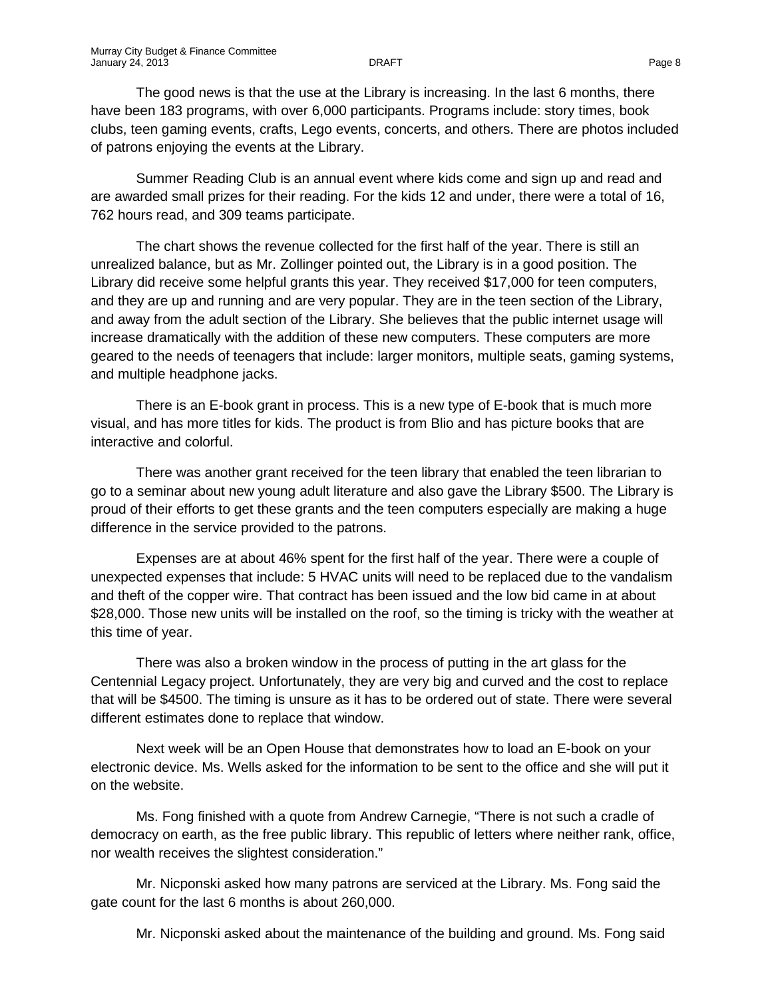The good news is that the use at the Library is increasing. In the last 6 months, there have been 183 programs, with over 6,000 participants. Programs include: story times, book clubs, teen gaming events, crafts, Lego events, concerts, and others. There are photos included of patrons enjoying the events at the Library.

Summer Reading Club is an annual event where kids come and sign up and read and are awarded small prizes for their reading. For the kids 12 and under, there were a total of 16, 762 hours read, and 309 teams participate.

The chart shows the revenue collected for the first half of the year. There is still an unrealized balance, but as Mr. Zollinger pointed out, the Library is in a good position. The Library did receive some helpful grants this year. They received \$17,000 for teen computers, and they are up and running and are very popular. They are in the teen section of the Library, and away from the adult section of the Library. She believes that the public internet usage will increase dramatically with the addition of these new computers. These computers are more geared to the needs of teenagers that include: larger monitors, multiple seats, gaming systems, and multiple headphone jacks.

There is an E-book grant in process. This is a new type of E-book that is much more visual, and has more titles for kids. The product is from Blio and has picture books that are interactive and colorful.

There was another grant received for the teen library that enabled the teen librarian to go to a seminar about new young adult literature and also gave the Library \$500. The Library is proud of their efforts to get these grants and the teen computers especially are making a huge difference in the service provided to the patrons.

Expenses are at about 46% spent for the first half of the year. There were a couple of unexpected expenses that include: 5 HVAC units will need to be replaced due to the vandalism and theft of the copper wire. That contract has been issued and the low bid came in at about \$28,000. Those new units will be installed on the roof, so the timing is tricky with the weather at this time of year.

There was also a broken window in the process of putting in the art glass for the Centennial Legacy project. Unfortunately, they are very big and curved and the cost to replace that will be \$4500. The timing is unsure as it has to be ordered out of state. There were several different estimates done to replace that window.

Next week will be an Open House that demonstrates how to load an E-book on your electronic device. Ms. Wells asked for the information to be sent to the office and she will put it on the website.

Ms. Fong finished with a quote from Andrew Carnegie, "There is not such a cradle of democracy on earth, as the free public library. This republic of letters where neither rank, office, nor wealth receives the slightest consideration."

Mr. Nicponski asked how many patrons are serviced at the Library. Ms. Fong said the gate count for the last 6 months is about 260,000.

Mr. Nicponski asked about the maintenance of the building and ground. Ms. Fong said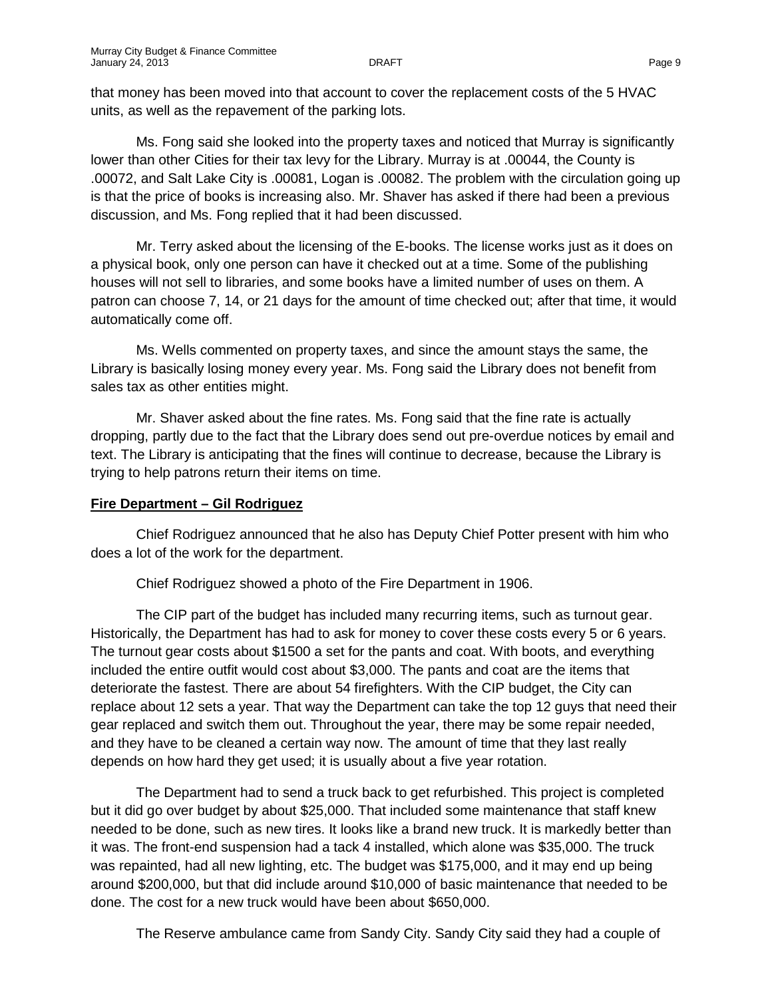that money has been moved into that account to cover the replacement costs of the 5 HVAC units, as well as the repavement of the parking lots.

Ms. Fong said she looked into the property taxes and noticed that Murray is significantly lower than other Cities for their tax levy for the Library. Murray is at .00044, the County is .00072, and Salt Lake City is .00081, Logan is .00082. The problem with the circulation going up is that the price of books is increasing also. Mr. Shaver has asked if there had been a previous discussion, and Ms. Fong replied that it had been discussed.

Mr. Terry asked about the licensing of the E-books. The license works just as it does on a physical book, only one person can have it checked out at a time. Some of the publishing houses will not sell to libraries, and some books have a limited number of uses on them. A patron can choose 7, 14, or 21 days for the amount of time checked out; after that time, it would automatically come off.

Ms. Wells commented on property taxes, and since the amount stays the same, the Library is basically losing money every year. Ms. Fong said the Library does not benefit from sales tax as other entities might.

Mr. Shaver asked about the fine rates. Ms. Fong said that the fine rate is actually dropping, partly due to the fact that the Library does send out pre-overdue notices by email and text. The Library is anticipating that the fines will continue to decrease, because the Library is trying to help patrons return their items on time.

#### **Fire Department – Gil Rodriguez**

Chief Rodriguez announced that he also has Deputy Chief Potter present with him who does a lot of the work for the department.

Chief Rodriguez showed a photo of the Fire Department in 1906.

The CIP part of the budget has included many recurring items, such as turnout gear. Historically, the Department has had to ask for money to cover these costs every 5 or 6 years. The turnout gear costs about \$1500 a set for the pants and coat. With boots, and everything included the entire outfit would cost about \$3,000. The pants and coat are the items that deteriorate the fastest. There are about 54 firefighters. With the CIP budget, the City can replace about 12 sets a year. That way the Department can take the top 12 guys that need their gear replaced and switch them out. Throughout the year, there may be some repair needed, and they have to be cleaned a certain way now. The amount of time that they last really depends on how hard they get used; it is usually about a five year rotation.

The Department had to send a truck back to get refurbished. This project is completed but it did go over budget by about \$25,000. That included some maintenance that staff knew needed to be done, such as new tires. It looks like a brand new truck. It is markedly better than it was. The front-end suspension had a tack 4 installed, which alone was \$35,000. The truck was repainted, had all new lighting, etc. The budget was \$175,000, and it may end up being around \$200,000, but that did include around \$10,000 of basic maintenance that needed to be done. The cost for a new truck would have been about \$650,000.

The Reserve ambulance came from Sandy City. Sandy City said they had a couple of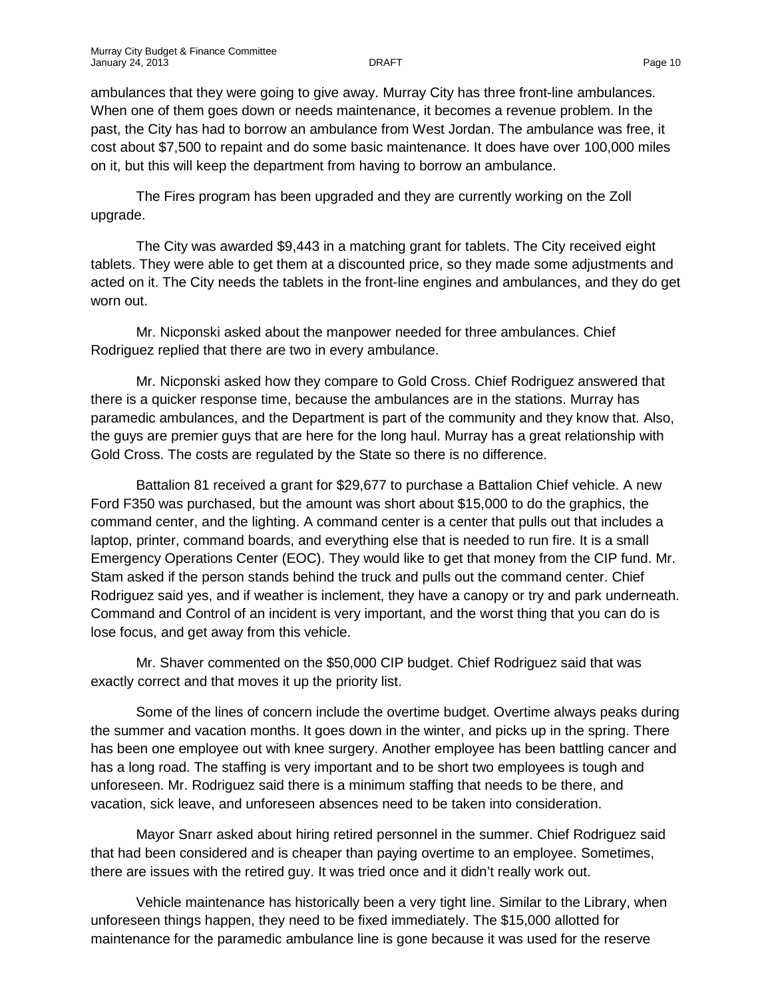ambulances that they were going to give away. Murray City has three front-line ambulances. When one of them goes down or needs maintenance, it becomes a revenue problem. In the past, the City has had to borrow an ambulance from West Jordan. The ambulance was free, it cost about \$7,500 to repaint and do some basic maintenance. It does have over 100,000 miles on it, but this will keep the department from having to borrow an ambulance.

The Fires program has been upgraded and they are currently working on the Zoll upgrade.

The City was awarded \$9,443 in a matching grant for tablets. The City received eight tablets. They were able to get them at a discounted price, so they made some adjustments and acted on it. The City needs the tablets in the front-line engines and ambulances, and they do get worn out.

Mr. Nicponski asked about the manpower needed for three ambulances. Chief Rodriguez replied that there are two in every ambulance.

Mr. Nicponski asked how they compare to Gold Cross. Chief Rodriguez answered that there is a quicker response time, because the ambulances are in the stations. Murray has paramedic ambulances, and the Department is part of the community and they know that. Also, the guys are premier guys that are here for the long haul. Murray has a great relationship with Gold Cross. The costs are regulated by the State so there is no difference.

Battalion 81 received a grant for \$29,677 to purchase a Battalion Chief vehicle. A new Ford F350 was purchased, but the amount was short about \$15,000 to do the graphics, the command center, and the lighting. A command center is a center that pulls out that includes a laptop, printer, command boards, and everything else that is needed to run fire. It is a small Emergency Operations Center (EOC). They would like to get that money from the CIP fund. Mr. Stam asked if the person stands behind the truck and pulls out the command center. Chief Rodriguez said yes, and if weather is inclement, they have a canopy or try and park underneath. Command and Control of an incident is very important, and the worst thing that you can do is lose focus, and get away from this vehicle.

Mr. Shaver commented on the \$50,000 CIP budget. Chief Rodriguez said that was exactly correct and that moves it up the priority list.

Some of the lines of concern include the overtime budget. Overtime always peaks during the summer and vacation months. It goes down in the winter, and picks up in the spring. There has been one employee out with knee surgery. Another employee has been battling cancer and has a long road. The staffing is very important and to be short two employees is tough and unforeseen. Mr. Rodriguez said there is a minimum staffing that needs to be there, and vacation, sick leave, and unforeseen absences need to be taken into consideration.

Mayor Snarr asked about hiring retired personnel in the summer. Chief Rodriguez said that had been considered and is cheaper than paying overtime to an employee. Sometimes, there are issues with the retired guy. It was tried once and it didn't really work out.

Vehicle maintenance has historically been a very tight line. Similar to the Library, when unforeseen things happen, they need to be fixed immediately. The \$15,000 allotted for maintenance for the paramedic ambulance line is gone because it was used for the reserve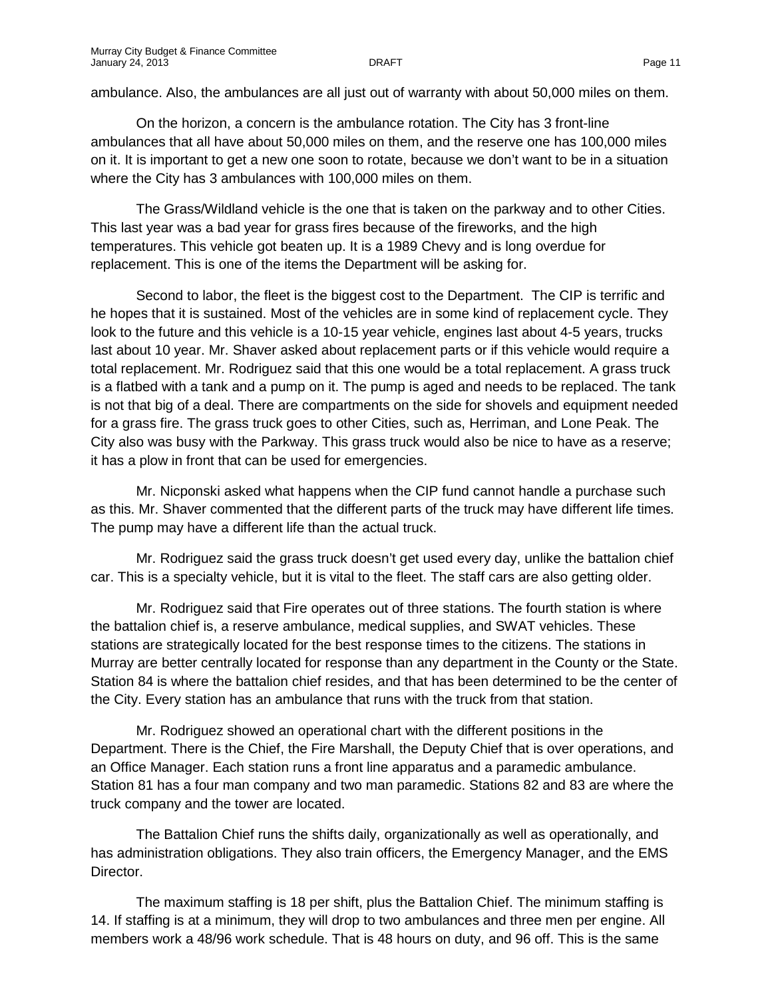ambulance. Also, the ambulances are all just out of warranty with about 50,000 miles on them.

On the horizon, a concern is the ambulance rotation. The City has 3 front-line ambulances that all have about 50,000 miles on them, and the reserve one has 100,000 miles on it. It is important to get a new one soon to rotate, because we don't want to be in a situation where the City has 3 ambulances with 100,000 miles on them.

The Grass/Wildland vehicle is the one that is taken on the parkway and to other Cities. This last year was a bad year for grass fires because of the fireworks, and the high temperatures. This vehicle got beaten up. It is a 1989 Chevy and is long overdue for replacement. This is one of the items the Department will be asking for.

Second to labor, the fleet is the biggest cost to the Department. The CIP is terrific and he hopes that it is sustained. Most of the vehicles are in some kind of replacement cycle. They look to the future and this vehicle is a 10-15 year vehicle, engines last about 4-5 years, trucks last about 10 year. Mr. Shaver asked about replacement parts or if this vehicle would require a total replacement. Mr. Rodriguez said that this one would be a total replacement. A grass truck is a flatbed with a tank and a pump on it. The pump is aged and needs to be replaced. The tank is not that big of a deal. There are compartments on the side for shovels and equipment needed for a grass fire. The grass truck goes to other Cities, such as, Herriman, and Lone Peak. The City also was busy with the Parkway. This grass truck would also be nice to have as a reserve; it has a plow in front that can be used for emergencies.

Mr. Nicponski asked what happens when the CIP fund cannot handle a purchase such as this. Mr. Shaver commented that the different parts of the truck may have different life times. The pump may have a different life than the actual truck.

Mr. Rodriguez said the grass truck doesn't get used every day, unlike the battalion chief car. This is a specialty vehicle, but it is vital to the fleet. The staff cars are also getting older.

Mr. Rodriguez said that Fire operates out of three stations. The fourth station is where the battalion chief is, a reserve ambulance, medical supplies, and SWAT vehicles. These stations are strategically located for the best response times to the citizens. The stations in Murray are better centrally located for response than any department in the County or the State. Station 84 is where the battalion chief resides, and that has been determined to be the center of the City. Every station has an ambulance that runs with the truck from that station.

Mr. Rodriguez showed an operational chart with the different positions in the Department. There is the Chief, the Fire Marshall, the Deputy Chief that is over operations, and an Office Manager. Each station runs a front line apparatus and a paramedic ambulance. Station 81 has a four man company and two man paramedic. Stations 82 and 83 are where the truck company and the tower are located.

The Battalion Chief runs the shifts daily, organizationally as well as operationally, and has administration obligations. They also train officers, the Emergency Manager, and the EMS Director.

The maximum staffing is 18 per shift, plus the Battalion Chief. The minimum staffing is 14. If staffing is at a minimum, they will drop to two ambulances and three men per engine. All members work a 48/96 work schedule. That is 48 hours on duty, and 96 off. This is the same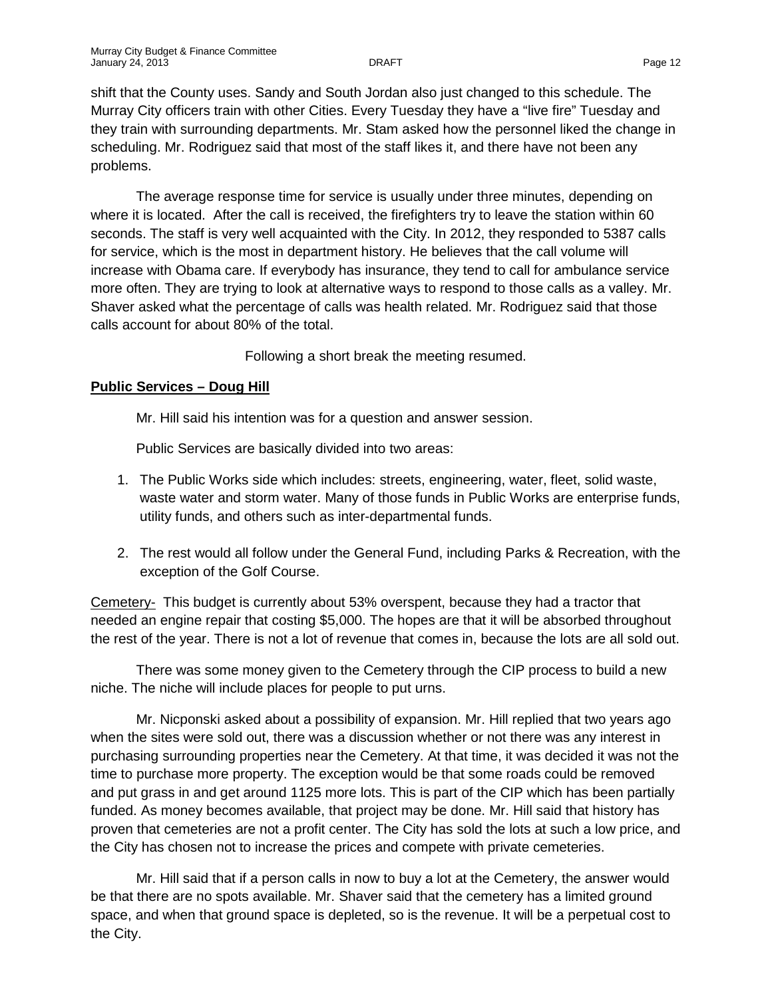shift that the County uses. Sandy and South Jordan also just changed to this schedule. The Murray City officers train with other Cities. Every Tuesday they have a "live fire" Tuesday and they train with surrounding departments. Mr. Stam asked how the personnel liked the change in scheduling. Mr. Rodriguez said that most of the staff likes it, and there have not been any problems.

The average response time for service is usually under three minutes, depending on where it is located. After the call is received, the firefighters try to leave the station within 60 seconds. The staff is very well acquainted with the City. In 2012, they responded to 5387 calls for service, which is the most in department history. He believes that the call volume will increase with Obama care. If everybody has insurance, they tend to call for ambulance service more often. They are trying to look at alternative ways to respond to those calls as a valley. Mr. Shaver asked what the percentage of calls was health related. Mr. Rodriguez said that those calls account for about 80% of the total.

Following a short break the meeting resumed.

### **Public Services – Doug Hill**

Mr. Hill said his intention was for a question and answer session.

Public Services are basically divided into two areas:

- 1. The Public Works side which includes: streets, engineering, water, fleet, solid waste, waste water and storm water. Many of those funds in Public Works are enterprise funds, utility funds, and others such as inter-departmental funds.
- 2. The rest would all follow under the General Fund, including Parks & Recreation, with the exception of the Golf Course.

Cemetery- This budget is currently about 53% overspent, because they had a tractor that needed an engine repair that costing \$5,000. The hopes are that it will be absorbed throughout the rest of the year. There is not a lot of revenue that comes in, because the lots are all sold out.

There was some money given to the Cemetery through the CIP process to build a new niche. The niche will include places for people to put urns.

Mr. Nicponski asked about a possibility of expansion. Mr. Hill replied that two years ago when the sites were sold out, there was a discussion whether or not there was any interest in purchasing surrounding properties near the Cemetery. At that time, it was decided it was not the time to purchase more property. The exception would be that some roads could be removed and put grass in and get around 1125 more lots. This is part of the CIP which has been partially funded. As money becomes available, that project may be done. Mr. Hill said that history has proven that cemeteries are not a profit center. The City has sold the lots at such a low price, and the City has chosen not to increase the prices and compete with private cemeteries.

Mr. Hill said that if a person calls in now to buy a lot at the Cemetery, the answer would be that there are no spots available. Mr. Shaver said that the cemetery has a limited ground space, and when that ground space is depleted, so is the revenue. It will be a perpetual cost to the City.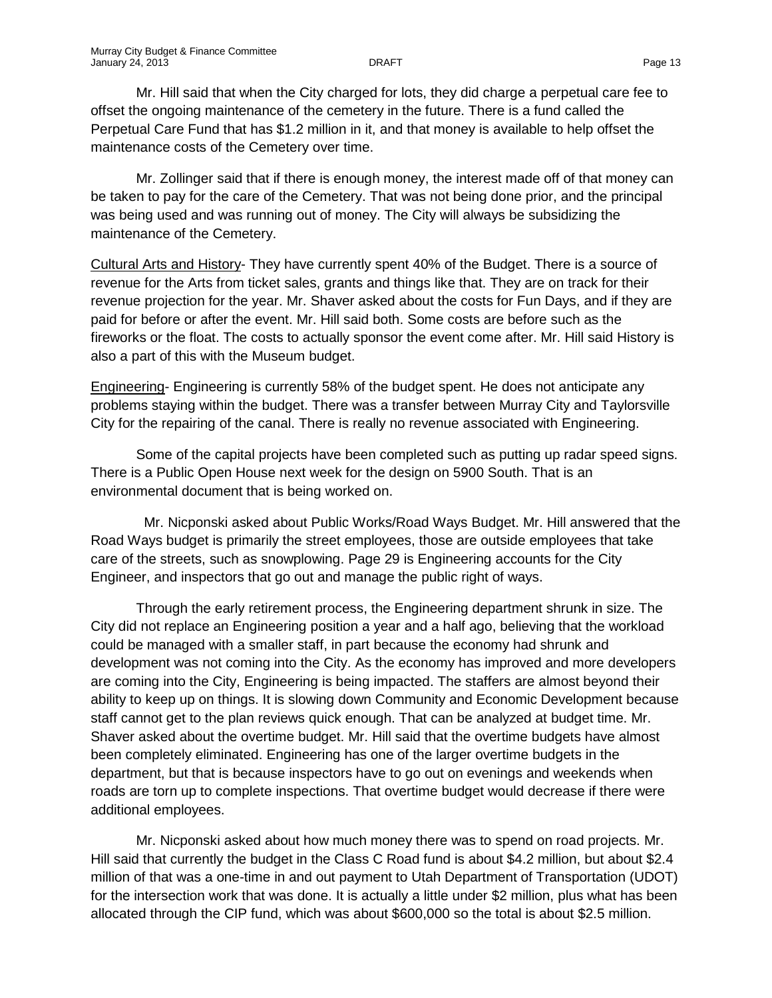Mr. Hill said that when the City charged for lots, they did charge a perpetual care fee to offset the ongoing maintenance of the cemetery in the future. There is a fund called the Perpetual Care Fund that has \$1.2 million in it, and that money is available to help offset the maintenance costs of the Cemetery over time.

Mr. Zollinger said that if there is enough money, the interest made off of that money can be taken to pay for the care of the Cemetery. That was not being done prior, and the principal was being used and was running out of money. The City will always be subsidizing the maintenance of the Cemetery.

Cultural Arts and History- They have currently spent 40% of the Budget. There is a source of revenue for the Arts from ticket sales, grants and things like that. They are on track for their revenue projection for the year. Mr. Shaver asked about the costs for Fun Days, and if they are paid for before or after the event. Mr. Hill said both. Some costs are before such as the fireworks or the float. The costs to actually sponsor the event come after. Mr. Hill said History is also a part of this with the Museum budget.

Engineering- Engineering is currently 58% of the budget spent. He does not anticipate any problems staying within the budget. There was a transfer between Murray City and Taylorsville City for the repairing of the canal. There is really no revenue associated with Engineering.

Some of the capital projects have been completed such as putting up radar speed signs. There is a Public Open House next week for the design on 5900 South. That is an environmental document that is being worked on.

 Mr. Nicponski asked about Public Works/Road Ways Budget. Mr. Hill answered that the Road Ways budget is primarily the street employees, those are outside employees that take care of the streets, such as snowplowing. Page 29 is Engineering accounts for the City Engineer, and inspectors that go out and manage the public right of ways.

Through the early retirement process, the Engineering department shrunk in size. The City did not replace an Engineering position a year and a half ago, believing that the workload could be managed with a smaller staff, in part because the economy had shrunk and development was not coming into the City. As the economy has improved and more developers are coming into the City, Engineering is being impacted. The staffers are almost beyond their ability to keep up on things. It is slowing down Community and Economic Development because staff cannot get to the plan reviews quick enough. That can be analyzed at budget time. Mr. Shaver asked about the overtime budget. Mr. Hill said that the overtime budgets have almost been completely eliminated. Engineering has one of the larger overtime budgets in the department, but that is because inspectors have to go out on evenings and weekends when roads are torn up to complete inspections. That overtime budget would decrease if there were additional employees.

Mr. Nicponski asked about how much money there was to spend on road projects. Mr. Hill said that currently the budget in the Class C Road fund is about \$4.2 million, but about \$2.4 million of that was a one-time in and out payment to Utah Department of Transportation (UDOT) for the intersection work that was done. It is actually a little under \$2 million, plus what has been allocated through the CIP fund, which was about \$600,000 so the total is about \$2.5 million.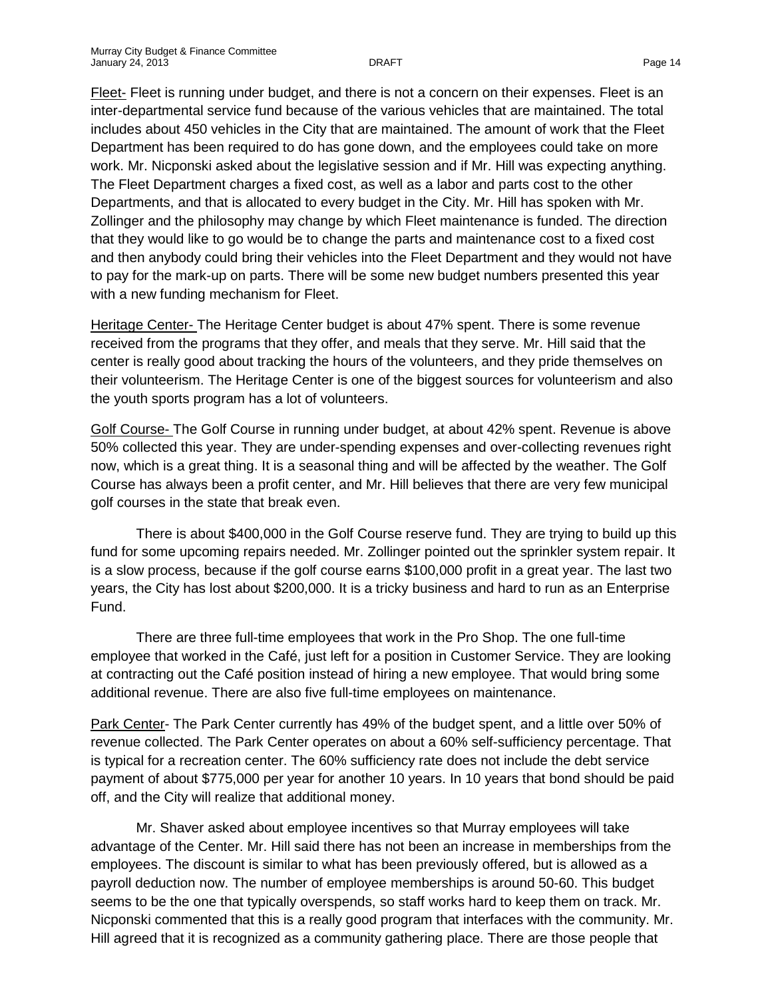Fleet- Fleet is running under budget, and there is not a concern on their expenses. Fleet is an inter-departmental service fund because of the various vehicles that are maintained. The total includes about 450 vehicles in the City that are maintained. The amount of work that the Fleet Department has been required to do has gone down, and the employees could take on more work. Mr. Nicponski asked about the legislative session and if Mr. Hill was expecting anything. The Fleet Department charges a fixed cost, as well as a labor and parts cost to the other Departments, and that is allocated to every budget in the City. Mr. Hill has spoken with Mr. Zollinger and the philosophy may change by which Fleet maintenance is funded. The direction that they would like to go would be to change the parts and maintenance cost to a fixed cost and then anybody could bring their vehicles into the Fleet Department and they would not have to pay for the mark-up on parts. There will be some new budget numbers presented this year with a new funding mechanism for Fleet.

Heritage Center- The Heritage Center budget is about 47% spent. There is some revenue received from the programs that they offer, and meals that they serve. Mr. Hill said that the center is really good about tracking the hours of the volunteers, and they pride themselves on their volunteerism. The Heritage Center is one of the biggest sources for volunteerism and also the youth sports program has a lot of volunteers.

Golf Course- The Golf Course in running under budget, at about 42% spent. Revenue is above 50% collected this year. They are under-spending expenses and over-collecting revenues right now, which is a great thing. It is a seasonal thing and will be affected by the weather. The Golf Course has always been a profit center, and Mr. Hill believes that there are very few municipal golf courses in the state that break even.

There is about \$400,000 in the Golf Course reserve fund. They are trying to build up this fund for some upcoming repairs needed. Mr. Zollinger pointed out the sprinkler system repair. It is a slow process, because if the golf course earns \$100,000 profit in a great year. The last two years, the City has lost about \$200,000. It is a tricky business and hard to run as an Enterprise Fund.

There are three full-time employees that work in the Pro Shop. The one full-time employee that worked in the Café, just left for a position in Customer Service. They are looking at contracting out the Café position instead of hiring a new employee. That would bring some additional revenue. There are also five full-time employees on maintenance.

Park Center- The Park Center currently has 49% of the budget spent, and a little over 50% of revenue collected. The Park Center operates on about a 60% self-sufficiency percentage. That is typical for a recreation center. The 60% sufficiency rate does not include the debt service payment of about \$775,000 per year for another 10 years. In 10 years that bond should be paid off, and the City will realize that additional money.

Mr. Shaver asked about employee incentives so that Murray employees will take advantage of the Center. Mr. Hill said there has not been an increase in memberships from the employees. The discount is similar to what has been previously offered, but is allowed as a payroll deduction now. The number of employee memberships is around 50-60. This budget seems to be the one that typically overspends, so staff works hard to keep them on track. Mr. Nicponski commented that this is a really good program that interfaces with the community. Mr. Hill agreed that it is recognized as a community gathering place. There are those people that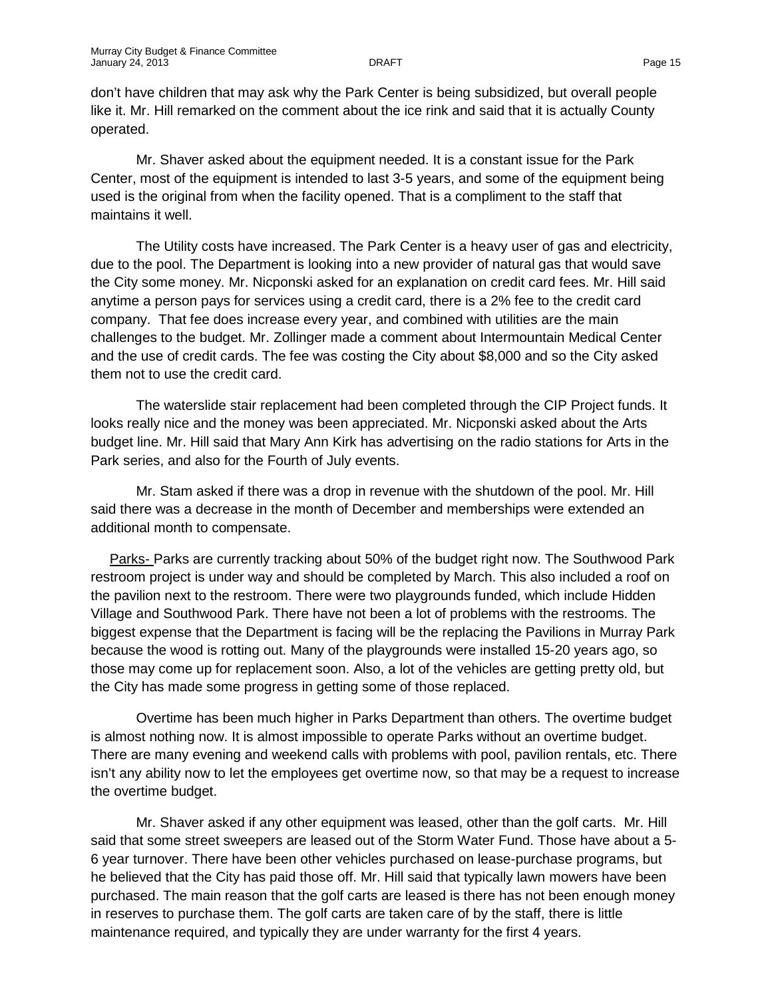don't have children that may ask why the Park Center is being subsidized, but overall people like it. Mr. Hill remarked on the comment about the ice rink and said that it is actually County operated.

Mr. Shaver asked about the equipment needed. It is a constant issue for the Park Center, most of the equipment is intended to last 3-5 years, and some of the equipment being used is the original from when the facility opened. That is a compliment to the staff that maintains it well.

The Utility costs have increased. The Park Center is a heavy user of gas and electricity, due to the pool. The Department is looking into a new provider of natural gas that would save the City some money. Mr. Nicponski asked for an explanation on credit card fees. Mr. Hill said anytime a person pays for services using a credit card, there is a 2% fee to the credit card company. That fee does increase every year, and combined with utilities are the main challenges to the budget. Mr. Zollinger made a comment about Intermountain Medical Center and the use of credit cards. The fee was costing the City about \$8,000 and so the City asked them not to use the credit card.

The waterslide stair replacement had been completed through the CIP Project funds. It looks really nice and the money was been appreciated. Mr. Nicponski asked about the Arts budget line. Mr. Hill said that Mary Ann Kirk has advertising on the radio stations for Arts in the Park series, and also for the Fourth of July events.

Mr. Stam asked if there was a drop in revenue with the shutdown of the pool. Mr. Hill said there was a decrease in the month of December and memberships were extended an additional month to compensate.

Parks- Parks are currently tracking about 50% of the budget right now. The Southwood Park restroom project is under way and should be completed by March. This also included a roof on the pavilion next to the restroom. There were two playgrounds funded, which include Hidden Village and Southwood Park. There have not been a lot of problems with the restrooms. The biggest expense that the Department is facing will be the replacing the Pavilions in Murray Park because the wood is rotting out. Many of the playgrounds were installed 15-20 years ago, so those may come up for replacement soon. Also, a lot of the vehicles are getting pretty old, but the City has made some progress in getting some of those replaced.

Overtime has been much higher in Parks Department than others. The overtime budget is almost nothing now. It is almost impossible to operate Parks without an overtime budget. There are many evening and weekend calls with problems with pool, pavilion rentals, etc. There isn't any ability now to let the employees get overtime now, so that may be a request to increase the overtime budget.

Mr. Shaver asked if any other equipment was leased, other than the golf carts. Mr. Hill said that some street sweepers are leased out of the Storm Water Fund. Those have about a 5- 6 year turnover. There have been other vehicles purchased on lease-purchase programs, but he believed that the City has paid those off. Mr. Hill said that typically lawn mowers have been purchased. The main reason that the golf carts are leased is there has not been enough money in reserves to purchase them. The golf carts are taken care of by the staff, there is little maintenance required, and typically they are under warranty for the first 4 years.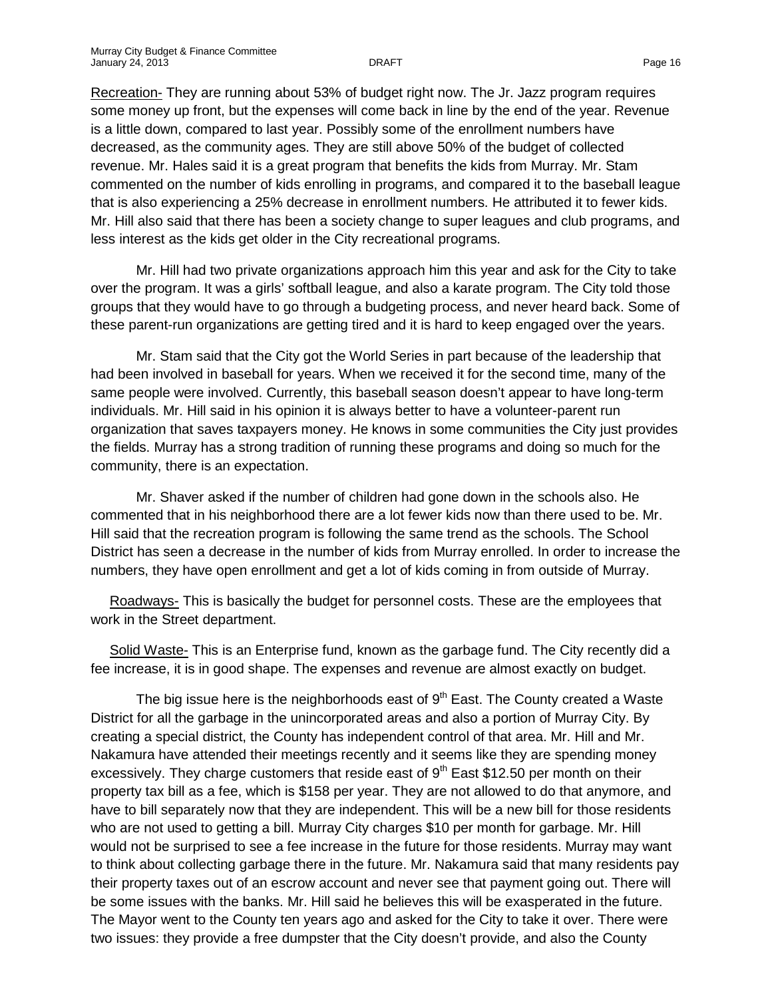Recreation- They are running about 53% of budget right now. The Jr. Jazz program requires some money up front, but the expenses will come back in line by the end of the year. Revenue is a little down, compared to last year. Possibly some of the enrollment numbers have decreased, as the community ages. They are still above 50% of the budget of collected revenue. Mr. Hales said it is a great program that benefits the kids from Murray. Mr. Stam commented on the number of kids enrolling in programs, and compared it to the baseball league that is also experiencing a 25% decrease in enrollment numbers. He attributed it to fewer kids. Mr. Hill also said that there has been a society change to super leagues and club programs, and less interest as the kids get older in the City recreational programs.

Mr. Hill had two private organizations approach him this year and ask for the City to take over the program. It was a girls' softball league, and also a karate program. The City told those groups that they would have to go through a budgeting process, and never heard back. Some of these parent-run organizations are getting tired and it is hard to keep engaged over the years.

Mr. Stam said that the City got the World Series in part because of the leadership that had been involved in baseball for years. When we received it for the second time, many of the same people were involved. Currently, this baseball season doesn't appear to have long-term individuals. Mr. Hill said in his opinion it is always better to have a volunteer-parent run organization that saves taxpayers money. He knows in some communities the City just provides the fields. Murray has a strong tradition of running these programs and doing so much for the community, there is an expectation.

Mr. Shaver asked if the number of children had gone down in the schools also. He commented that in his neighborhood there are a lot fewer kids now than there used to be. Mr. Hill said that the recreation program is following the same trend as the schools. The School District has seen a decrease in the number of kids from Murray enrolled. In order to increase the numbers, they have open enrollment and get a lot of kids coming in from outside of Murray.

Roadways- This is basically the budget for personnel costs. These are the employees that work in the Street department.

Solid Waste- This is an Enterprise fund, known as the garbage fund. The City recently did a fee increase, it is in good shape. The expenses and revenue are almost exactly on budget.

The big issue here is the neighborhoods east of  $9<sup>th</sup>$  East. The County created a Waste District for all the garbage in the unincorporated areas and also a portion of Murray City. By creating a special district, the County has independent control of that area. Mr. Hill and Mr. Nakamura have attended their meetings recently and it seems like they are spending money excessively. They charge customers that reside east of  $9<sup>th</sup>$  East \$12.50 per month on their property tax bill as a fee, which is \$158 per year. They are not allowed to do that anymore, and have to bill separately now that they are independent. This will be a new bill for those residents who are not used to getting a bill. Murray City charges \$10 per month for garbage. Mr. Hill would not be surprised to see a fee increase in the future for those residents. Murray may want to think about collecting garbage there in the future. Mr. Nakamura said that many residents pay their property taxes out of an escrow account and never see that payment going out. There will be some issues with the banks. Mr. Hill said he believes this will be exasperated in the future. The Mayor went to the County ten years ago and asked for the City to take it over. There were two issues: they provide a free dumpster that the City doesn't provide, and also the County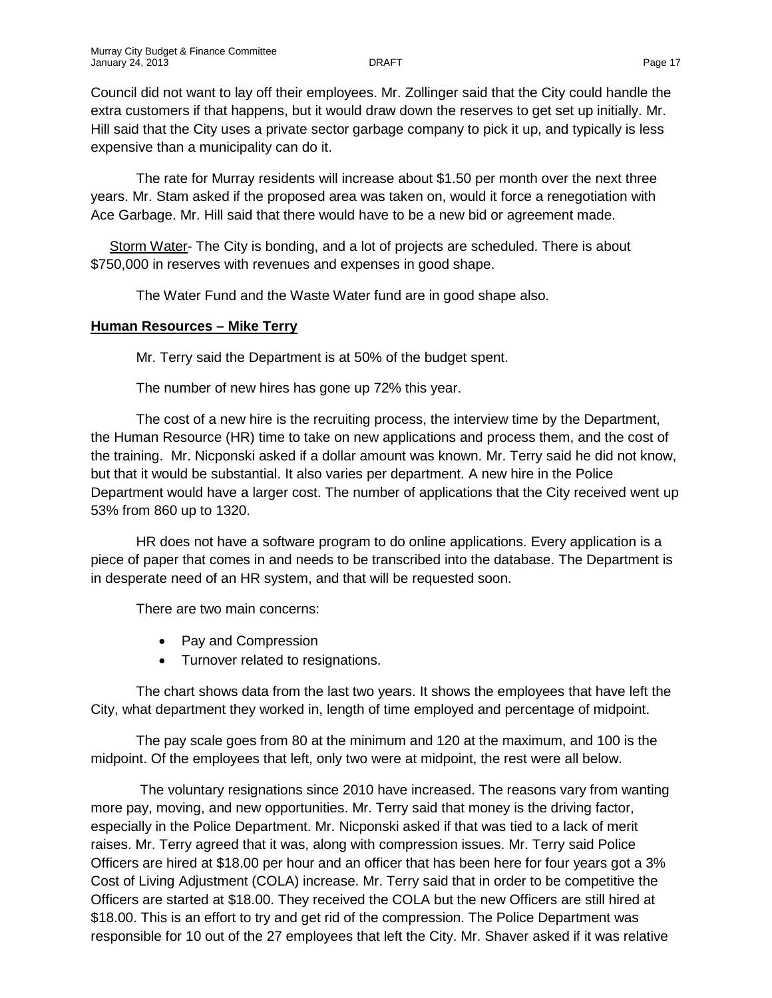Council did not want to lay off their employees. Mr. Zollinger said that the City could handle the extra customers if that happens, but it would draw down the reserves to get set up initially. Mr. Hill said that the City uses a private sector garbage company to pick it up, and typically is less expensive than a municipality can do it.

The rate for Murray residents will increase about \$1.50 per month over the next three years. Mr. Stam asked if the proposed area was taken on, would it force a renegotiation with Ace Garbage. Mr. Hill said that there would have to be a new bid or agreement made.

Storm Water- The City is bonding, and a lot of projects are scheduled. There is about \$750,000 in reserves with revenues and expenses in good shape.

The Water Fund and the Waste Water fund are in good shape also.

### **Human Resources – Mike Terry**

Mr. Terry said the Department is at 50% of the budget spent.

The number of new hires has gone up 72% this year.

The cost of a new hire is the recruiting process, the interview time by the Department, the Human Resource (HR) time to take on new applications and process them, and the cost of the training. Mr. Nicponski asked if a dollar amount was known. Mr. Terry said he did not know, but that it would be substantial. It also varies per department. A new hire in the Police Department would have a larger cost. The number of applications that the City received went up 53% from 860 up to 1320.

HR does not have a software program to do online applications. Every application is a piece of paper that comes in and needs to be transcribed into the database. The Department is in desperate need of an HR system, and that will be requested soon.

There are two main concerns:

- Pay and Compression
- Turnover related to resignations.

The chart shows data from the last two years. It shows the employees that have left the City, what department they worked in, length of time employed and percentage of midpoint.

The pay scale goes from 80 at the minimum and 120 at the maximum, and 100 is the midpoint. Of the employees that left, only two were at midpoint, the rest were all below.

The voluntary resignations since 2010 have increased. The reasons vary from wanting more pay, moving, and new opportunities. Mr. Terry said that money is the driving factor, especially in the Police Department. Mr. Nicponski asked if that was tied to a lack of merit raises. Mr. Terry agreed that it was, along with compression issues. Mr. Terry said Police Officers are hired at \$18.00 per hour and an officer that has been here for four years got a 3% Cost of Living Adjustment (COLA) increase. Mr. Terry said that in order to be competitive the Officers are started at \$18.00. They received the COLA but the new Officers are still hired at \$18.00. This is an effort to try and get rid of the compression. The Police Department was responsible for 10 out of the 27 employees that left the City. Mr. Shaver asked if it was relative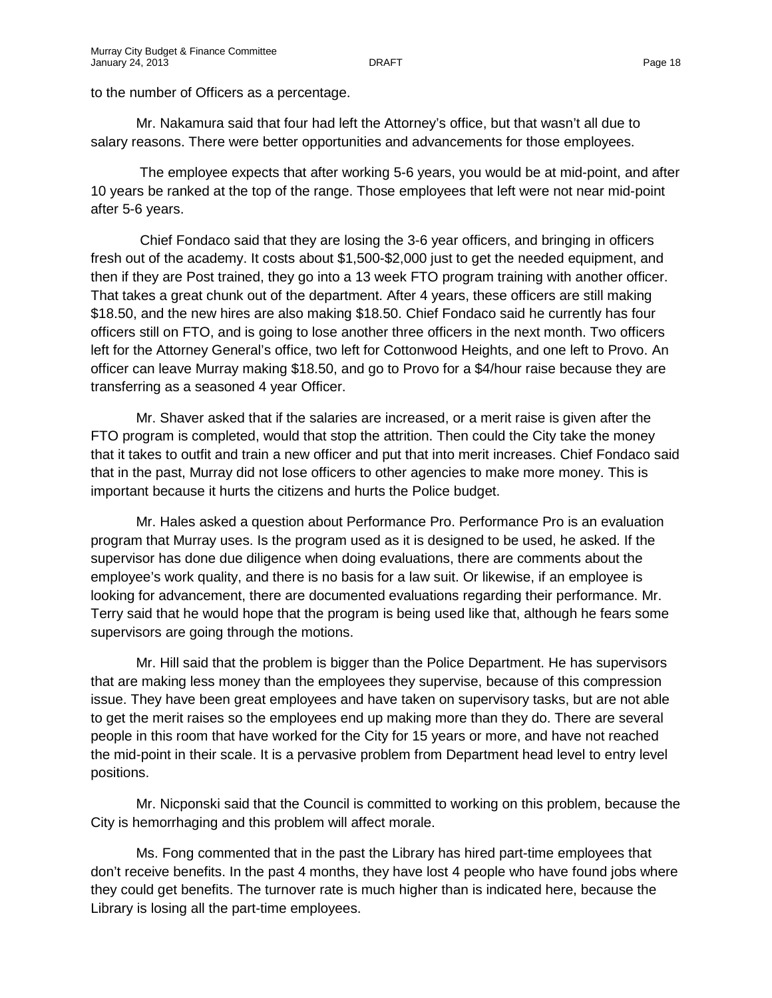to the number of Officers as a percentage.

Mr. Nakamura said that four had left the Attorney's office, but that wasn't all due to salary reasons. There were better opportunities and advancements for those employees.

The employee expects that after working 5-6 years, you would be at mid-point, and after 10 years be ranked at the top of the range. Those employees that left were not near mid-point after 5-6 years.

Chief Fondaco said that they are losing the 3-6 year officers, and bringing in officers fresh out of the academy. It costs about \$1,500-\$2,000 just to get the needed equipment, and then if they are Post trained, they go into a 13 week FTO program training with another officer. That takes a great chunk out of the department. After 4 years, these officers are still making \$18.50, and the new hires are also making \$18.50. Chief Fondaco said he currently has four officers still on FTO, and is going to lose another three officers in the next month. Two officers left for the Attorney General's office, two left for Cottonwood Heights, and one left to Provo. An officer can leave Murray making \$18.50, and go to Provo for a \$4/hour raise because they are transferring as a seasoned 4 year Officer.

Mr. Shaver asked that if the salaries are increased, or a merit raise is given after the FTO program is completed, would that stop the attrition. Then could the City take the money that it takes to outfit and train a new officer and put that into merit increases. Chief Fondaco said that in the past, Murray did not lose officers to other agencies to make more money. This is important because it hurts the citizens and hurts the Police budget.

Mr. Hales asked a question about Performance Pro. Performance Pro is an evaluation program that Murray uses. Is the program used as it is designed to be used, he asked. If the supervisor has done due diligence when doing evaluations, there are comments about the employee's work quality, and there is no basis for a law suit. Or likewise, if an employee is looking for advancement, there are documented evaluations regarding their performance. Mr. Terry said that he would hope that the program is being used like that, although he fears some supervisors are going through the motions.

Mr. Hill said that the problem is bigger than the Police Department. He has supervisors that are making less money than the employees they supervise, because of this compression issue. They have been great employees and have taken on supervisory tasks, but are not able to get the merit raises so the employees end up making more than they do. There are several people in this room that have worked for the City for 15 years or more, and have not reached the mid-point in their scale. It is a pervasive problem from Department head level to entry level positions.

Mr. Nicponski said that the Council is committed to working on this problem, because the City is hemorrhaging and this problem will affect morale.

Ms. Fong commented that in the past the Library has hired part-time employees that don't receive benefits. In the past 4 months, they have lost 4 people who have found jobs where they could get benefits. The turnover rate is much higher than is indicated here, because the Library is losing all the part-time employees.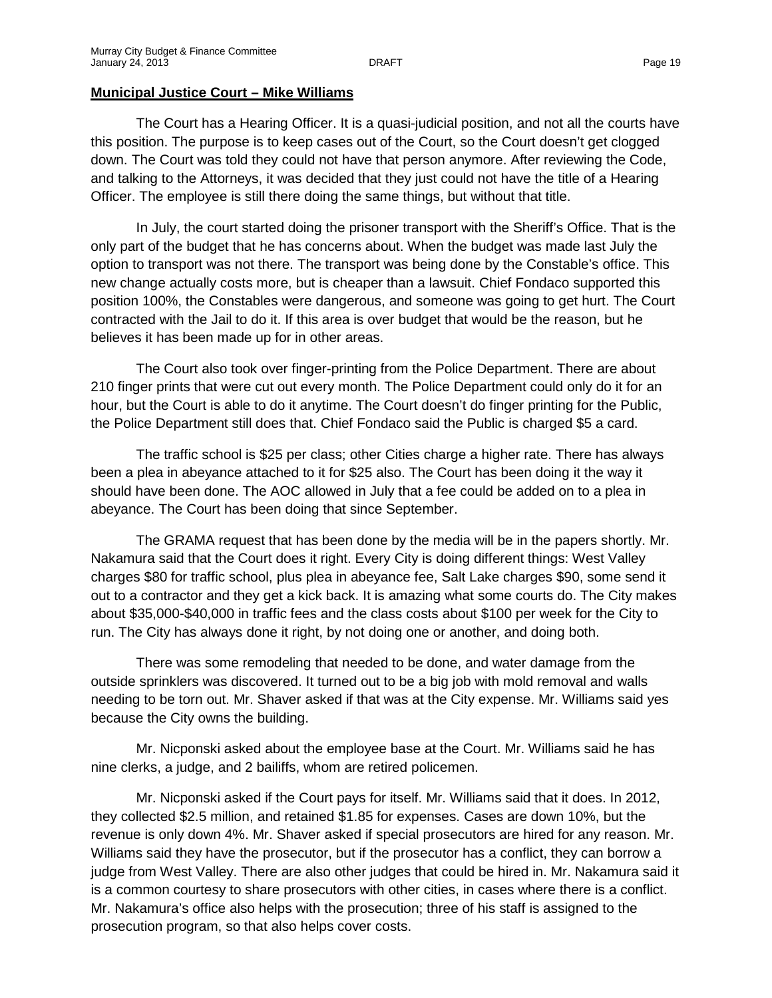#### **Municipal Justice Court – Mike Williams**

The Court has a Hearing Officer. It is a quasi-judicial position, and not all the courts have this position. The purpose is to keep cases out of the Court, so the Court doesn't get clogged down. The Court was told they could not have that person anymore. After reviewing the Code, and talking to the Attorneys, it was decided that they just could not have the title of a Hearing Officer. The employee is still there doing the same things, but without that title.

In July, the court started doing the prisoner transport with the Sheriff's Office. That is the only part of the budget that he has concerns about. When the budget was made last July the option to transport was not there. The transport was being done by the Constable's office. This new change actually costs more, but is cheaper than a lawsuit. Chief Fondaco supported this position 100%, the Constables were dangerous, and someone was going to get hurt. The Court contracted with the Jail to do it. If this area is over budget that would be the reason, but he believes it has been made up for in other areas.

The Court also took over finger-printing from the Police Department. There are about 210 finger prints that were cut out every month. The Police Department could only do it for an hour, but the Court is able to do it anytime. The Court doesn't do finger printing for the Public, the Police Department still does that. Chief Fondaco said the Public is charged \$5 a card.

The traffic school is \$25 per class; other Cities charge a higher rate. There has always been a plea in abeyance attached to it for \$25 also. The Court has been doing it the way it should have been done. The AOC allowed in July that a fee could be added on to a plea in abeyance. The Court has been doing that since September.

The GRAMA request that has been done by the media will be in the papers shortly. Mr. Nakamura said that the Court does it right. Every City is doing different things: West Valley charges \$80 for traffic school, plus plea in abeyance fee, Salt Lake charges \$90, some send it out to a contractor and they get a kick back. It is amazing what some courts do. The City makes about \$35,000-\$40,000 in traffic fees and the class costs about \$100 per week for the City to run. The City has always done it right, by not doing one or another, and doing both.

There was some remodeling that needed to be done, and water damage from the outside sprinklers was discovered. It turned out to be a big job with mold removal and walls needing to be torn out. Mr. Shaver asked if that was at the City expense. Mr. Williams said yes because the City owns the building.

Mr. Nicponski asked about the employee base at the Court. Mr. Williams said he has nine clerks, a judge, and 2 bailiffs, whom are retired policemen.

Mr. Nicponski asked if the Court pays for itself. Mr. Williams said that it does. In 2012, they collected \$2.5 million, and retained \$1.85 for expenses. Cases are down 10%, but the revenue is only down 4%. Mr. Shaver asked if special prosecutors are hired for any reason. Mr. Williams said they have the prosecutor, but if the prosecutor has a conflict, they can borrow a judge from West Valley. There are also other judges that could be hired in. Mr. Nakamura said it is a common courtesy to share prosecutors with other cities, in cases where there is a conflict. Mr. Nakamura's office also helps with the prosecution; three of his staff is assigned to the prosecution program, so that also helps cover costs.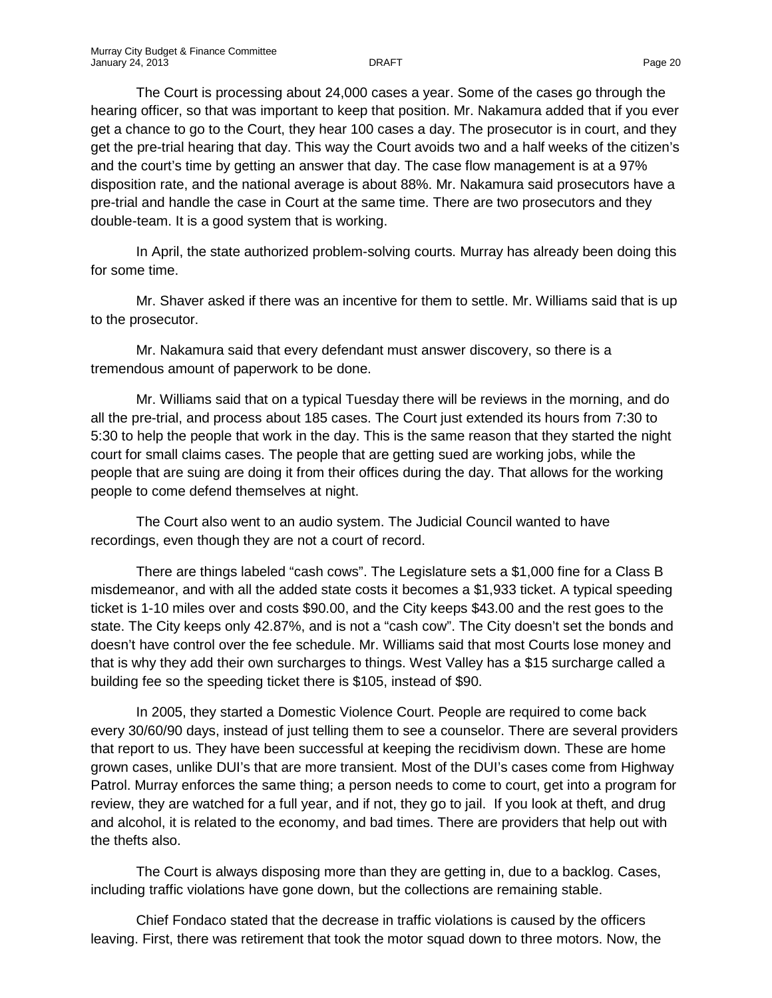The Court is processing about 24,000 cases a year. Some of the cases go through the hearing officer, so that was important to keep that position. Mr. Nakamura added that if you ever get a chance to go to the Court, they hear 100 cases a day. The prosecutor is in court, and they get the pre-trial hearing that day. This way the Court avoids two and a half weeks of the citizen's and the court's time by getting an answer that day. The case flow management is at a 97% disposition rate, and the national average is about 88%. Mr. Nakamura said prosecutors have a pre-trial and handle the case in Court at the same time. There are two prosecutors and they double-team. It is a good system that is working.

In April, the state authorized problem-solving courts. Murray has already been doing this for some time.

Mr. Shaver asked if there was an incentive for them to settle. Mr. Williams said that is up to the prosecutor.

Mr. Nakamura said that every defendant must answer discovery, so there is a tremendous amount of paperwork to be done.

Mr. Williams said that on a typical Tuesday there will be reviews in the morning, and do all the pre-trial, and process about 185 cases. The Court just extended its hours from 7:30 to 5:30 to help the people that work in the day. This is the same reason that they started the night court for small claims cases. The people that are getting sued are working jobs, while the people that are suing are doing it from their offices during the day. That allows for the working people to come defend themselves at night.

The Court also went to an audio system. The Judicial Council wanted to have recordings, even though they are not a court of record.

There are things labeled "cash cows". The Legislature sets a \$1,000 fine for a Class B misdemeanor, and with all the added state costs it becomes a \$1,933 ticket. A typical speeding ticket is 1-10 miles over and costs \$90.00, and the City keeps \$43.00 and the rest goes to the state. The City keeps only 42.87%, and is not a "cash cow". The City doesn't set the bonds and doesn't have control over the fee schedule. Mr. Williams said that most Courts lose money and that is why they add their own surcharges to things. West Valley has a \$15 surcharge called a building fee so the speeding ticket there is \$105, instead of \$90.

In 2005, they started a Domestic Violence Court. People are required to come back every 30/60/90 days, instead of just telling them to see a counselor. There are several providers that report to us. They have been successful at keeping the recidivism down. These are home grown cases, unlike DUI's that are more transient. Most of the DUI's cases come from Highway Patrol. Murray enforces the same thing; a person needs to come to court, get into a program for review, they are watched for a full year, and if not, they go to jail. If you look at theft, and drug and alcohol, it is related to the economy, and bad times. There are providers that help out with the thefts also.

The Court is always disposing more than they are getting in, due to a backlog. Cases, including traffic violations have gone down, but the collections are remaining stable.

Chief Fondaco stated that the decrease in traffic violations is caused by the officers leaving. First, there was retirement that took the motor squad down to three motors. Now, the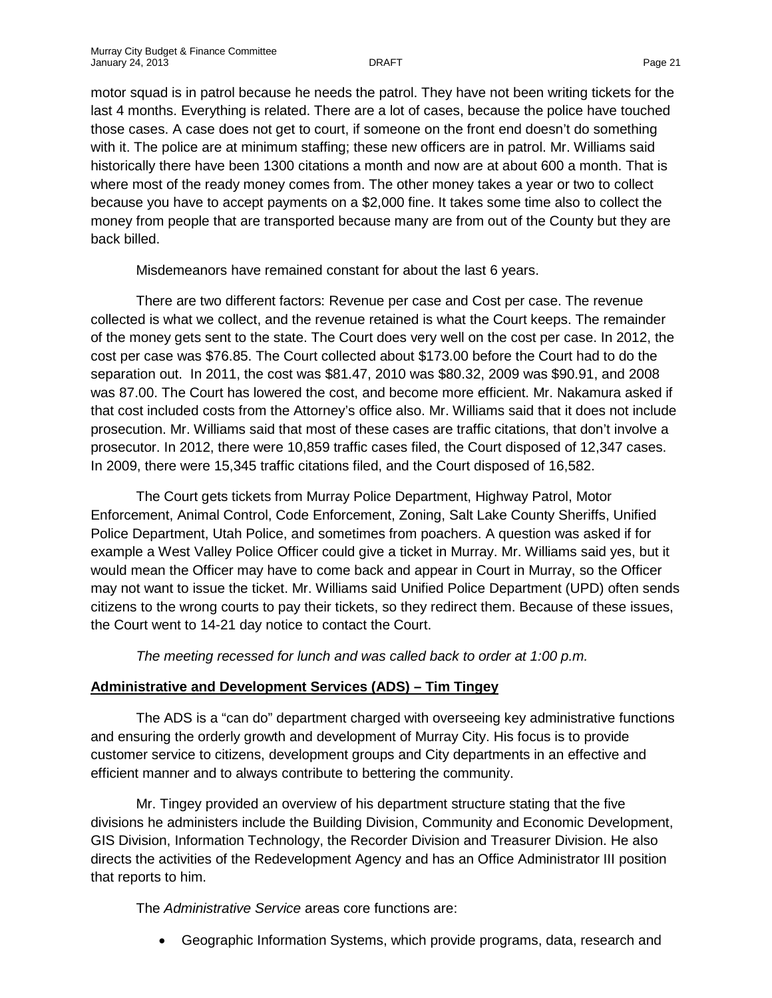motor squad is in patrol because he needs the patrol. They have not been writing tickets for the last 4 months. Everything is related. There are a lot of cases, because the police have touched those cases. A case does not get to court, if someone on the front end doesn't do something with it. The police are at minimum staffing; these new officers are in patrol. Mr. Williams said historically there have been 1300 citations a month and now are at about 600 a month. That is where most of the ready money comes from. The other money takes a year or two to collect because you have to accept payments on a \$2,000 fine. It takes some time also to collect the money from people that are transported because many are from out of the County but they are back billed.

Misdemeanors have remained constant for about the last 6 years.

There are two different factors: Revenue per case and Cost per case. The revenue collected is what we collect, and the revenue retained is what the Court keeps. The remainder of the money gets sent to the state. The Court does very well on the cost per case. In 2012, the cost per case was \$76.85. The Court collected about \$173.00 before the Court had to do the separation out. In 2011, the cost was \$81.47, 2010 was \$80.32, 2009 was \$90.91, and 2008 was 87.00. The Court has lowered the cost, and become more efficient. Mr. Nakamura asked if that cost included costs from the Attorney's office also. Mr. Williams said that it does not include prosecution. Mr. Williams said that most of these cases are traffic citations, that don't involve a prosecutor. In 2012, there were 10,859 traffic cases filed, the Court disposed of 12,347 cases. In 2009, there were 15,345 traffic citations filed, and the Court disposed of 16,582.

The Court gets tickets from Murray Police Department, Highway Patrol, Motor Enforcement, Animal Control, Code Enforcement, Zoning, Salt Lake County Sheriffs, Unified Police Department, Utah Police, and sometimes from poachers. A question was asked if for example a West Valley Police Officer could give a ticket in Murray. Mr. Williams said yes, but it would mean the Officer may have to come back and appear in Court in Murray, so the Officer may not want to issue the ticket. Mr. Williams said Unified Police Department (UPD) often sends citizens to the wrong courts to pay their tickets, so they redirect them. Because of these issues, the Court went to 14-21 day notice to contact the Court.

*The meeting recessed for lunch and was called back to order at 1:00 p.m.*

# **Administrative and Development Services (ADS) – Tim Tingey**

The ADS is a "can do" department charged with overseeing key administrative functions and ensuring the orderly growth and development of Murray City. His focus is to provide customer service to citizens, development groups and City departments in an effective and efficient manner and to always contribute to bettering the community.

Mr. Tingey provided an overview of his department structure stating that the five divisions he administers include the Building Division, Community and Economic Development, GIS Division, Information Technology, the Recorder Division and Treasurer Division. He also directs the activities of the Redevelopment Agency and has an Office Administrator III position that reports to him.

The *Administrative Service* areas core functions are:

• Geographic Information Systems, which provide programs, data, research and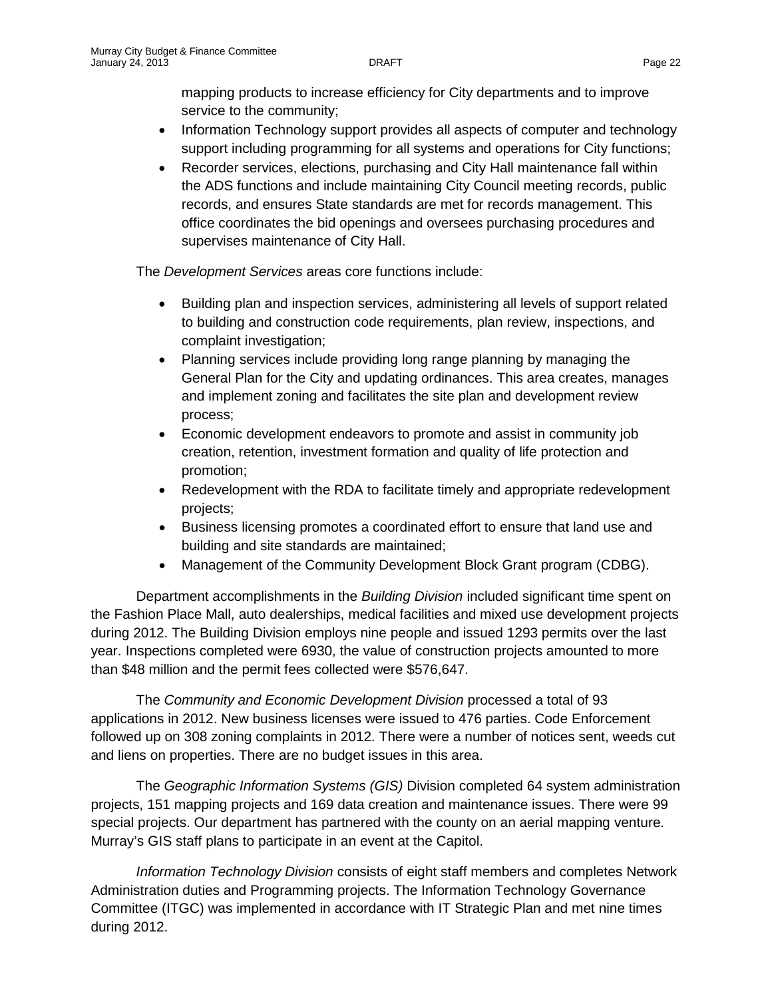mapping products to increase efficiency for City departments and to improve service to the community;

- Information Technology support provides all aspects of computer and technology support including programming for all systems and operations for City functions;
- Recorder services, elections, purchasing and City Hall maintenance fall within the ADS functions and include maintaining City Council meeting records, public records, and ensures State standards are met for records management. This office coordinates the bid openings and oversees purchasing procedures and supervises maintenance of City Hall.

The *Development Services* areas core functions include:

- Building plan and inspection services, administering all levels of support related to building and construction code requirements, plan review, inspections, and complaint investigation;
- Planning services include providing long range planning by managing the General Plan for the City and updating ordinances. This area creates, manages and implement zoning and facilitates the site plan and development review process;
- Economic development endeavors to promote and assist in community job creation, retention, investment formation and quality of life protection and promotion;
- Redevelopment with the RDA to facilitate timely and appropriate redevelopment projects;
- Business licensing promotes a coordinated effort to ensure that land use and building and site standards are maintained;
- Management of the Community Development Block Grant program (CDBG).

Department accomplishments in the *Building Division* included significant time spent on the Fashion Place Mall, auto dealerships, medical facilities and mixed use development projects during 2012. The Building Division employs nine people and issued 1293 permits over the last year. Inspections completed were 6930, the value of construction projects amounted to more than \$48 million and the permit fees collected were \$576,647.

The *Community and Economic Development Division* processed a total of 93 applications in 2012. New business licenses were issued to 476 parties. Code Enforcement followed up on 308 zoning complaints in 2012. There were a number of notices sent, weeds cut and liens on properties. There are no budget issues in this area.

The *Geographic Information Systems (GIS)* Division completed 64 system administration projects, 151 mapping projects and 169 data creation and maintenance issues. There were 99 special projects. Our department has partnered with the county on an aerial mapping venture. Murray's GIS staff plans to participate in an event at the Capitol.

*Information Technology Division* consists of eight staff members and completes Network Administration duties and Programming projects. The Information Technology Governance Committee (ITGC) was implemented in accordance with IT Strategic Plan and met nine times during 2012.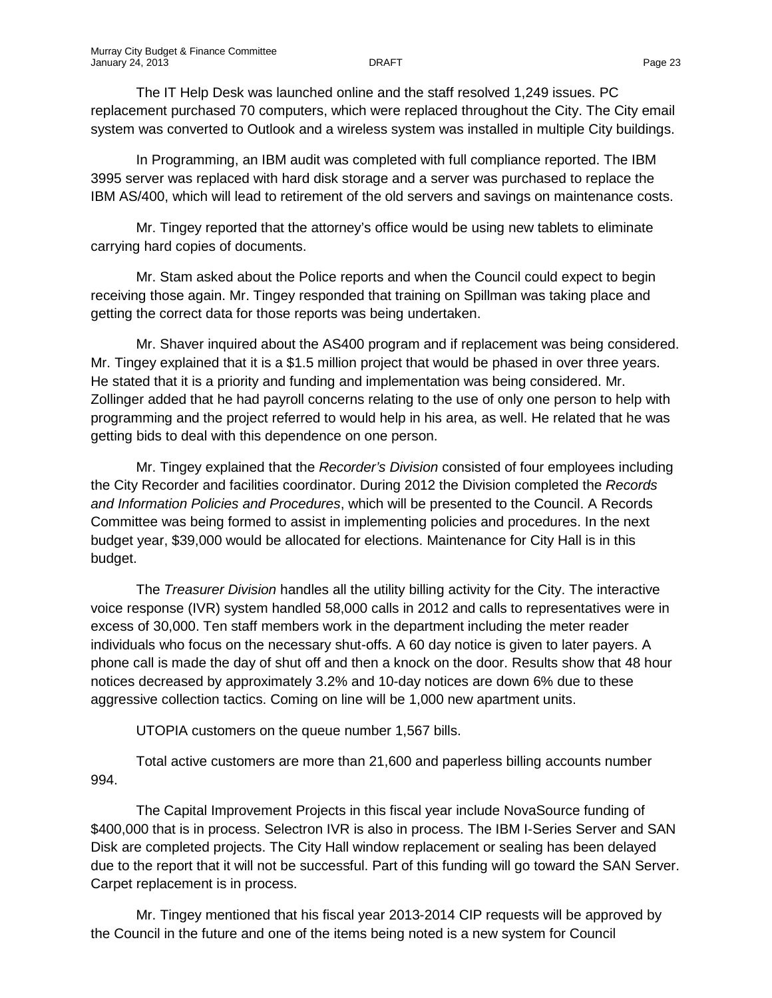The IT Help Desk was launched online and the staff resolved 1,249 issues. PC replacement purchased 70 computers, which were replaced throughout the City. The City email system was converted to Outlook and a wireless system was installed in multiple City buildings.

In Programming, an IBM audit was completed with full compliance reported. The IBM 3995 server was replaced with hard disk storage and a server was purchased to replace the IBM AS/400, which will lead to retirement of the old servers and savings on maintenance costs.

Mr. Tingey reported that the attorney's office would be using new tablets to eliminate carrying hard copies of documents.

Mr. Stam asked about the Police reports and when the Council could expect to begin receiving those again. Mr. Tingey responded that training on Spillman was taking place and getting the correct data for those reports was being undertaken.

Mr. Shaver inquired about the AS400 program and if replacement was being considered. Mr. Tingey explained that it is a \$1.5 million project that would be phased in over three years. He stated that it is a priority and funding and implementation was being considered. Mr. Zollinger added that he had payroll concerns relating to the use of only one person to help with programming and the project referred to would help in his area, as well. He related that he was getting bids to deal with this dependence on one person.

Mr. Tingey explained that the *Recorder's Division* consisted of four employees including the City Recorder and facilities coordinator. During 2012 the Division completed the *Records and Information Policies and Procedures*, which will be presented to the Council. A Records Committee was being formed to assist in implementing policies and procedures. In the next budget year, \$39,000 would be allocated for elections. Maintenance for City Hall is in this budget.

The *Treasurer Division* handles all the utility billing activity for the City. The interactive voice response (IVR) system handled 58,000 calls in 2012 and calls to representatives were in excess of 30,000. Ten staff members work in the department including the meter reader individuals who focus on the necessary shut-offs. A 60 day notice is given to later payers. A phone call is made the day of shut off and then a knock on the door. Results show that 48 hour notices decreased by approximately 3.2% and 10-day notices are down 6% due to these aggressive collection tactics. Coming on line will be 1,000 new apartment units.

UTOPIA customers on the queue number 1,567 bills.

Total active customers are more than 21,600 and paperless billing accounts number 994.

The Capital Improvement Projects in this fiscal year include NovaSource funding of \$400,000 that is in process. Selectron IVR is also in process. The IBM I-Series Server and SAN Disk are completed projects. The City Hall window replacement or sealing has been delayed due to the report that it will not be successful. Part of this funding will go toward the SAN Server. Carpet replacement is in process.

Mr. Tingey mentioned that his fiscal year 2013-2014 CIP requests will be approved by the Council in the future and one of the items being noted is a new system for Council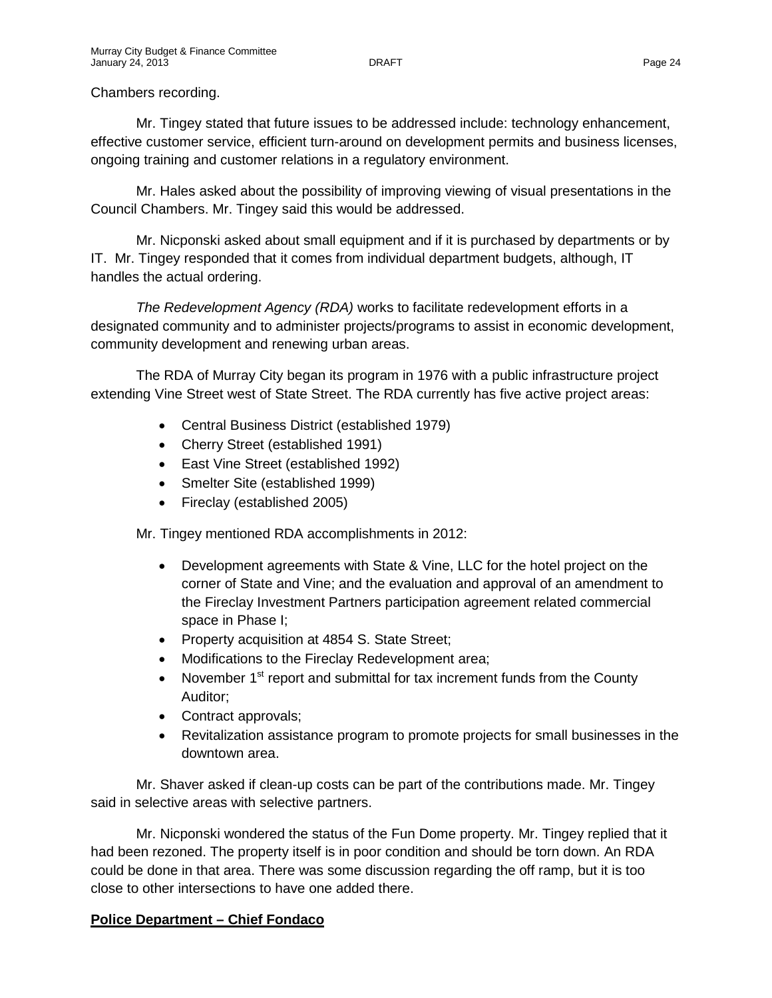### Chambers recording.

Mr. Tingey stated that future issues to be addressed include: technology enhancement, effective customer service, efficient turn-around on development permits and business licenses, ongoing training and customer relations in a regulatory environment.

Mr. Hales asked about the possibility of improving viewing of visual presentations in the Council Chambers. Mr. Tingey said this would be addressed.

Mr. Nicponski asked about small equipment and if it is purchased by departments or by IT. Mr. Tingey responded that it comes from individual department budgets, although, IT handles the actual ordering.

*The Redevelopment Agency (RDA)* works to facilitate redevelopment efforts in a designated community and to administer projects/programs to assist in economic development, community development and renewing urban areas.

The RDA of Murray City began its program in 1976 with a public infrastructure project extending Vine Street west of State Street. The RDA currently has five active project areas:

- Central Business District (established 1979)
- Cherry Street (established 1991)
- East Vine Street (established 1992)
- Smelter Site (established 1999)
- Fireclay (established 2005)

Mr. Tingey mentioned RDA accomplishments in 2012:

- Development agreements with State & Vine, LLC for the hotel project on the corner of State and Vine; and the evaluation and approval of an amendment to the Fireclay Investment Partners participation agreement related commercial space in Phase I;
- Property acquisition at 4854 S. State Street;
- Modifications to the Fireclay Redevelopment area;
- November  $1<sup>st</sup>$  report and submittal for tax increment funds from the County Auditor;
- Contract approvals;
- Revitalization assistance program to promote projects for small businesses in the downtown area.

Mr. Shaver asked if clean-up costs can be part of the contributions made. Mr. Tingey said in selective areas with selective partners.

Mr. Nicponski wondered the status of the Fun Dome property. Mr. Tingey replied that it had been rezoned. The property itself is in poor condition and should be torn down. An RDA could be done in that area. There was some discussion regarding the off ramp, but it is too close to other intersections to have one added there.

# **Police Department – Chief Fondaco**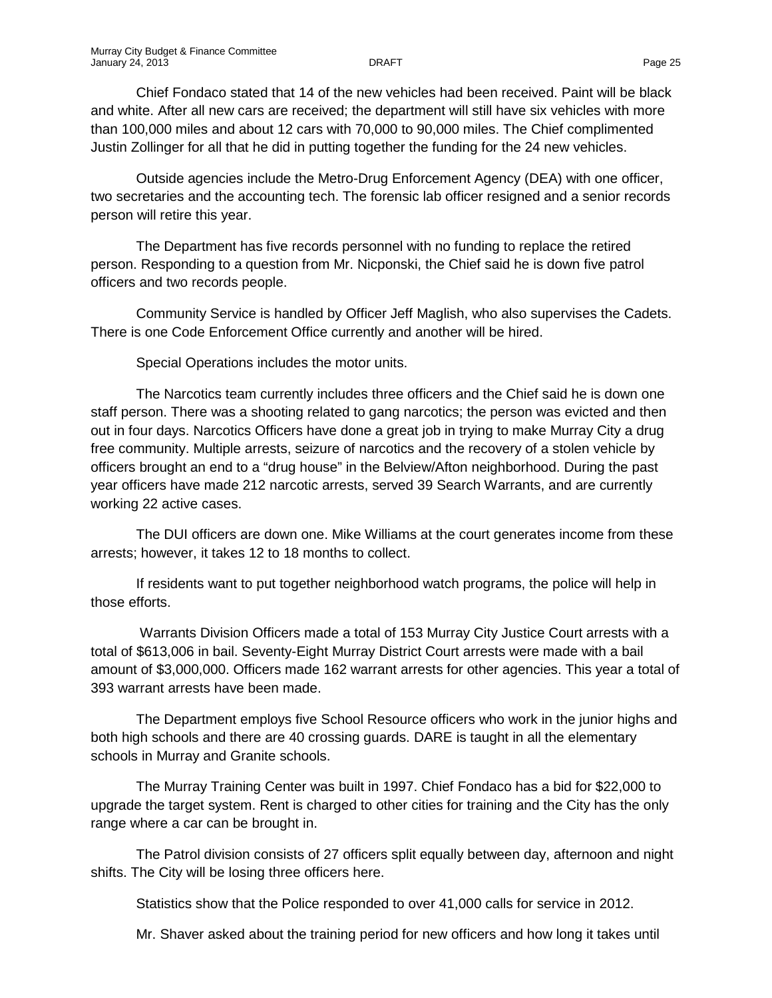Chief Fondaco stated that 14 of the new vehicles had been received. Paint will be black and white. After all new cars are received; the department will still have six vehicles with more than 100,000 miles and about 12 cars with 70,000 to 90,000 miles. The Chief complimented Justin Zollinger for all that he did in putting together the funding for the 24 new vehicles.

Outside agencies include the Metro-Drug Enforcement Agency (DEA) with one officer, two secretaries and the accounting tech. The forensic lab officer resigned and a senior records person will retire this year.

The Department has five records personnel with no funding to replace the retired person. Responding to a question from Mr. Nicponski, the Chief said he is down five patrol officers and two records people.

Community Service is handled by Officer Jeff Maglish, who also supervises the Cadets. There is one Code Enforcement Office currently and another will be hired.

Special Operations includes the motor units.

The Narcotics team currently includes three officers and the Chief said he is down one staff person. There was a shooting related to gang narcotics; the person was evicted and then out in four days. Narcotics Officers have done a great job in trying to make Murray City a drug free community. Multiple arrests, seizure of narcotics and the recovery of a stolen vehicle by officers brought an end to a "drug house" in the Belview/Afton neighborhood. During the past year officers have made 212 narcotic arrests, served 39 Search Warrants, and are currently working 22 active cases.

The DUI officers are down one. Mike Williams at the court generates income from these arrests; however, it takes 12 to 18 months to collect.

If residents want to put together neighborhood watch programs, the police will help in those efforts.

Warrants Division Officers made a total of 153 Murray City Justice Court arrests with a total of \$613,006 in bail. Seventy-Eight Murray District Court arrests were made with a bail amount of \$3,000,000. Officers made 162 warrant arrests for other agencies. This year a total of 393 warrant arrests have been made.

The Department employs five School Resource officers who work in the junior highs and both high schools and there are 40 crossing guards. DARE is taught in all the elementary schools in Murray and Granite schools.

The Murray Training Center was built in 1997. Chief Fondaco has a bid for \$22,000 to upgrade the target system. Rent is charged to other cities for training and the City has the only range where a car can be brought in.

The Patrol division consists of 27 officers split equally between day, afternoon and night shifts. The City will be losing three officers here.

Statistics show that the Police responded to over 41,000 calls for service in 2012.

Mr. Shaver asked about the training period for new officers and how long it takes until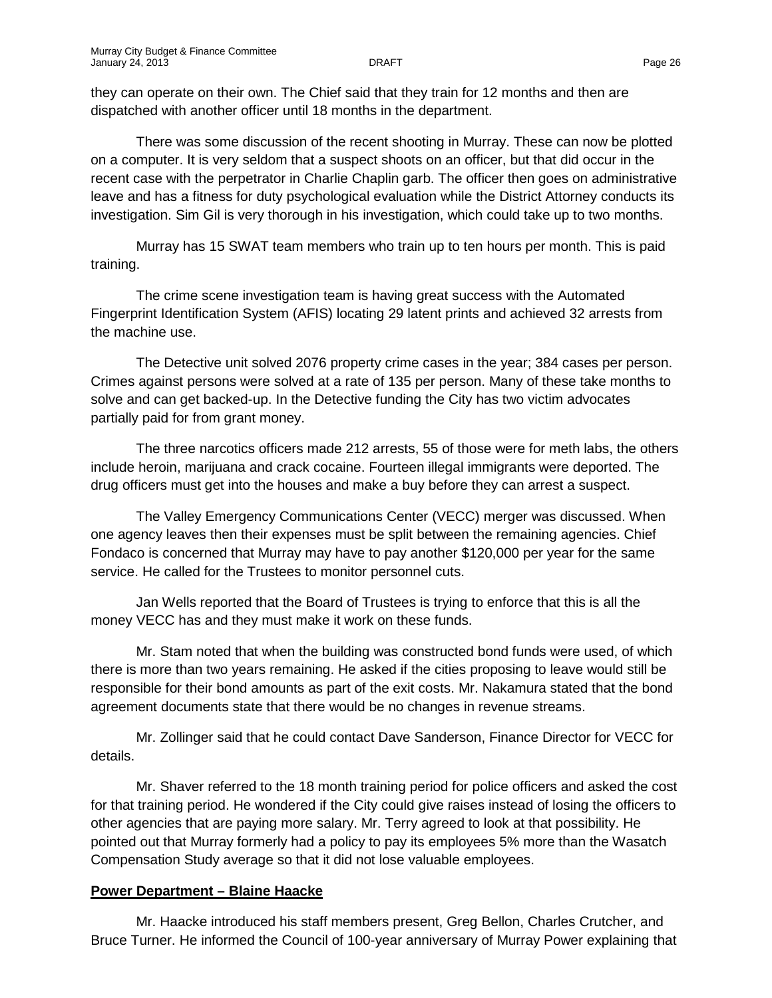they can operate on their own. The Chief said that they train for 12 months and then are dispatched with another officer until 18 months in the department.

There was some discussion of the recent shooting in Murray. These can now be plotted on a computer. It is very seldom that a suspect shoots on an officer, but that did occur in the recent case with the perpetrator in Charlie Chaplin garb. The officer then goes on administrative leave and has a fitness for duty psychological evaluation while the District Attorney conducts its investigation. Sim Gil is very thorough in his investigation, which could take up to two months.

Murray has 15 SWAT team members who train up to ten hours per month. This is paid training.

The crime scene investigation team is having great success with the Automated Fingerprint Identification System (AFIS) locating 29 latent prints and achieved 32 arrests from the machine use.

The Detective unit solved 2076 property crime cases in the year; 384 cases per person. Crimes against persons were solved at a rate of 135 per person. Many of these take months to solve and can get backed-up. In the Detective funding the City has two victim advocates partially paid for from grant money.

The three narcotics officers made 212 arrests, 55 of those were for meth labs, the others include heroin, marijuana and crack cocaine. Fourteen illegal immigrants were deported. The drug officers must get into the houses and make a buy before they can arrest a suspect.

The Valley Emergency Communications Center (VECC) merger was discussed. When one agency leaves then their expenses must be split between the remaining agencies. Chief Fondaco is concerned that Murray may have to pay another \$120,000 per year for the same service. He called for the Trustees to monitor personnel cuts.

Jan Wells reported that the Board of Trustees is trying to enforce that this is all the money VECC has and they must make it work on these funds.

Mr. Stam noted that when the building was constructed bond funds were used, of which there is more than two years remaining. He asked if the cities proposing to leave would still be responsible for their bond amounts as part of the exit costs. Mr. Nakamura stated that the bond agreement documents state that there would be no changes in revenue streams.

Mr. Zollinger said that he could contact Dave Sanderson, Finance Director for VECC for details.

Mr. Shaver referred to the 18 month training period for police officers and asked the cost for that training period. He wondered if the City could give raises instead of losing the officers to other agencies that are paying more salary. Mr. Terry agreed to look at that possibility. He pointed out that Murray formerly had a policy to pay its employees 5% more than the Wasatch Compensation Study average so that it did not lose valuable employees.

### **Power Department – Blaine Haacke**

Mr. Haacke introduced his staff members present, Greg Bellon, Charles Crutcher, and Bruce Turner. He informed the Council of 100-year anniversary of Murray Power explaining that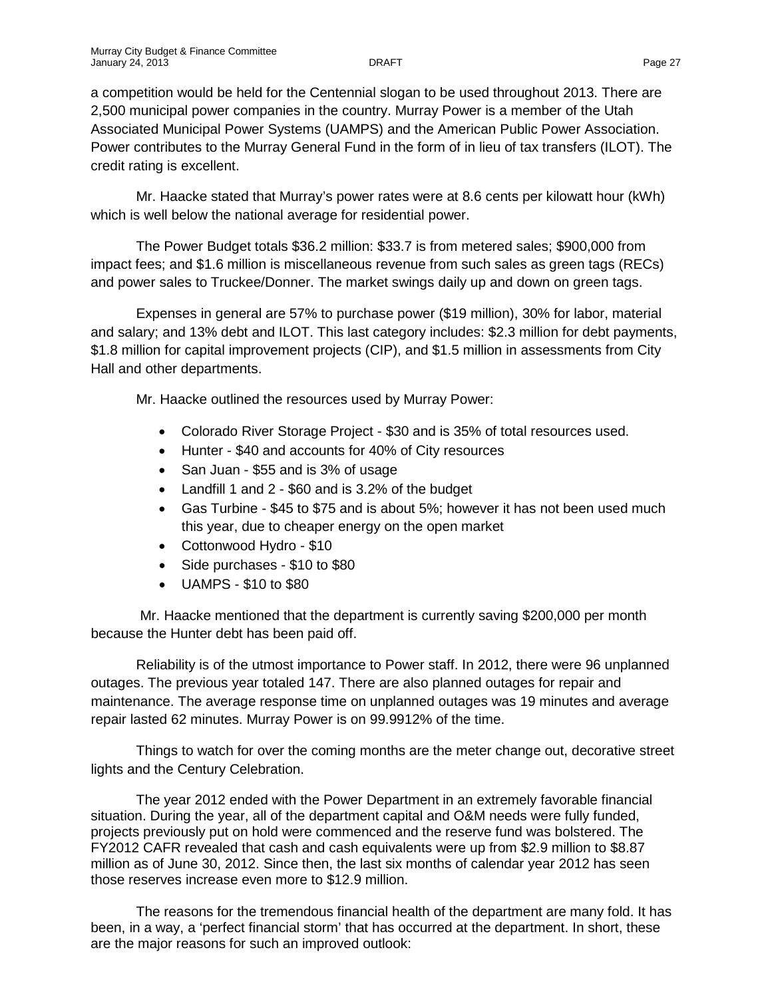a competition would be held for the Centennial slogan to be used throughout 2013. There are 2,500 municipal power companies in the country. Murray Power is a member of the Utah Associated Municipal Power Systems (UAMPS) and the American Public Power Association. Power contributes to the Murray General Fund in the form of in lieu of tax transfers (ILOT). The credit rating is excellent.

Mr. Haacke stated that Murray's power rates were at 8.6 cents per kilowatt hour (kWh) which is well below the national average for residential power.

The Power Budget totals \$36.2 million: \$33.7 is from metered sales; \$900,000 from impact fees; and \$1.6 million is miscellaneous revenue from such sales as green tags (RECs) and power sales to Truckee/Donner. The market swings daily up and down on green tags.

Expenses in general are 57% to purchase power (\$19 million), 30% for labor, material and salary; and 13% debt and ILOT. This last category includes: \$2.3 million for debt payments, \$1.8 million for capital improvement projects (CIP), and \$1.5 million in assessments from City Hall and other departments.

Mr. Haacke outlined the resources used by Murray Power:

- Colorado River Storage Project \$30 and is 35% of total resources used.
- Hunter \$40 and accounts for 40% of City resources
- San Juan \$55 and is 3% of usage
- Landfill 1 and 2 \$60 and is 3.2% of the budget
- Gas Turbine \$45 to \$75 and is about 5%; however it has not been used much this year, due to cheaper energy on the open market
- Cottonwood Hydro \$10
- Side purchases \$10 to \$80
- UAMPS \$10 to \$80

Mr. Haacke mentioned that the department is currently saving \$200,000 per month because the Hunter debt has been paid off.

Reliability is of the utmost importance to Power staff. In 2012, there were 96 unplanned outages. The previous year totaled 147. There are also planned outages for repair and maintenance. The average response time on unplanned outages was 19 minutes and average repair lasted 62 minutes. Murray Power is on 99.9912% of the time.

Things to watch for over the coming months are the meter change out, decorative street lights and the Century Celebration.

The year 2012 ended with the Power Department in an extremely favorable financial situation. During the year, all of the department capital and O&M needs were fully funded, projects previously put on hold were commenced and the reserve fund was bolstered. The FY2012 CAFR revealed that cash and cash equivalents were up from \$2.9 million to \$8.87 million as of June 30, 2012. Since then, the last six months of calendar year 2012 has seen those reserves increase even more to \$12.9 million.

The reasons for the tremendous financial health of the department are many fold. It has been, in a way, a 'perfect financial storm' that has occurred at the department. In short, these are the major reasons for such an improved outlook: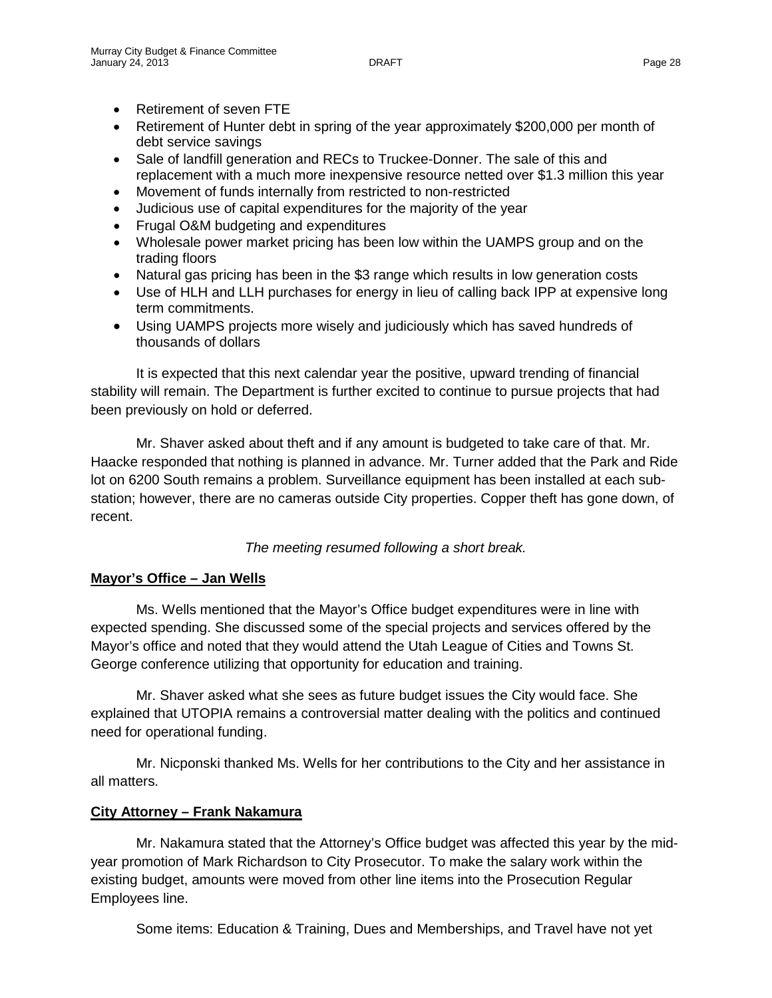- Retirement of seven FTE
- Retirement of Hunter debt in spring of the year approximately \$200,000 per month of debt service savings
- Sale of landfill generation and RECs to Truckee-Donner. The sale of this and replacement with a much more inexpensive resource netted over \$1.3 million this year
- Movement of funds internally from restricted to non-restricted
- Judicious use of capital expenditures for the majority of the year
- Frugal O&M budgeting and expenditures
- Wholesale power market pricing has been low within the UAMPS group and on the trading floors
- Natural gas pricing has been in the \$3 range which results in low generation costs
- Use of HLH and LLH purchases for energy in lieu of calling back IPP at expensive long term commitments.
- Using UAMPS projects more wisely and judiciously which has saved hundreds of thousands of dollars

It is expected that this next calendar year the positive, upward trending of financial stability will remain. The Department is further excited to continue to pursue projects that had been previously on hold or deferred.

Mr. Shaver asked about theft and if any amount is budgeted to take care of that. Mr. Haacke responded that nothing is planned in advance. Mr. Turner added that the Park and Ride lot on 6200 South remains a problem. Surveillance equipment has been installed at each substation; however, there are no cameras outside City properties. Copper theft has gone down, of recent.

*The meeting resumed following a short break.*

### **Mayor's Office – Jan Wells**

Ms. Wells mentioned that the Mayor's Office budget expenditures were in line with expected spending. She discussed some of the special projects and services offered by the Mayor's office and noted that they would attend the Utah League of Cities and Towns St. George conference utilizing that opportunity for education and training.

Mr. Shaver asked what she sees as future budget issues the City would face. She explained that UTOPIA remains a controversial matter dealing with the politics and continued need for operational funding.

Mr. Nicponski thanked Ms. Wells for her contributions to the City and her assistance in all matters.

### **City Attorney – Frank Nakamura**

Mr. Nakamura stated that the Attorney's Office budget was affected this year by the midyear promotion of Mark Richardson to City Prosecutor. To make the salary work within the existing budget, amounts were moved from other line items into the Prosecution Regular Employees line.

Some items: Education & Training, Dues and Memberships, and Travel have not yet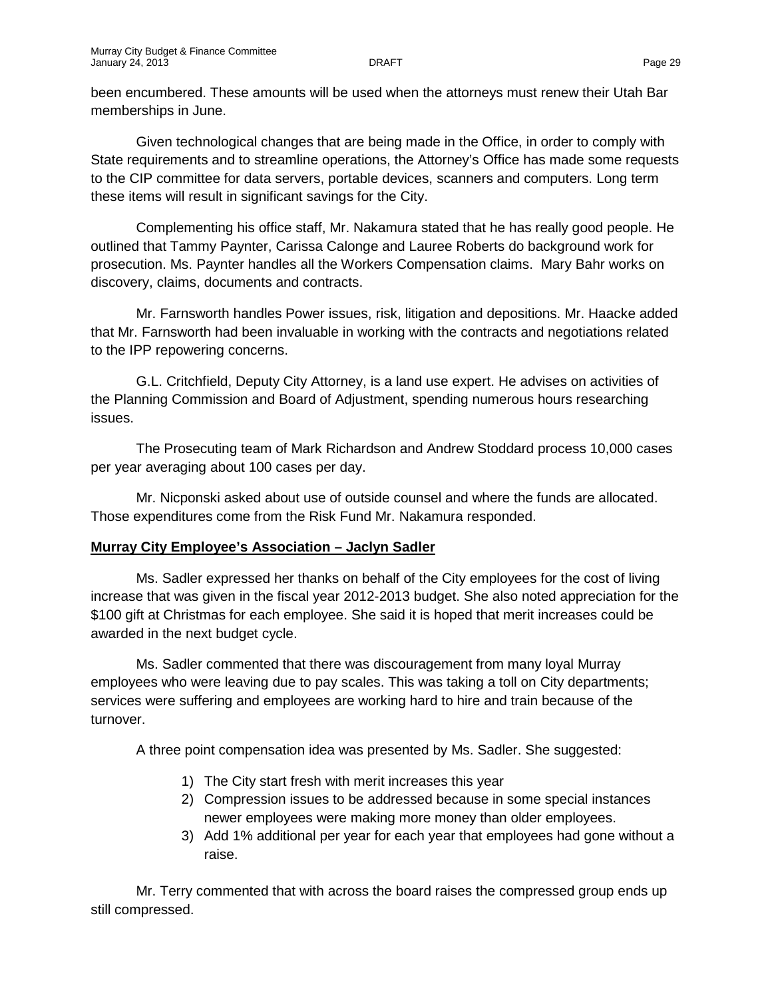been encumbered. These amounts will be used when the attorneys must renew their Utah Bar memberships in June.

Given technological changes that are being made in the Office, in order to comply with State requirements and to streamline operations, the Attorney's Office has made some requests to the CIP committee for data servers, portable devices, scanners and computers. Long term these items will result in significant savings for the City.

Complementing his office staff, Mr. Nakamura stated that he has really good people. He outlined that Tammy Paynter, Carissa Calonge and Lauree Roberts do background work for prosecution. Ms. Paynter handles all the Workers Compensation claims. Mary Bahr works on discovery, claims, documents and contracts.

Mr. Farnsworth handles Power issues, risk, litigation and depositions. Mr. Haacke added that Mr. Farnsworth had been invaluable in working with the contracts and negotiations related to the IPP repowering concerns.

G.L. Critchfield, Deputy City Attorney, is a land use expert. He advises on activities of the Planning Commission and Board of Adjustment, spending numerous hours researching issues.

The Prosecuting team of Mark Richardson and Andrew Stoddard process 10,000 cases per year averaging about 100 cases per day.

Mr. Nicponski asked about use of outside counsel and where the funds are allocated. Those expenditures come from the Risk Fund Mr. Nakamura responded.

### **Murray City Employee's Association – Jaclyn Sadler**

Ms. Sadler expressed her thanks on behalf of the City employees for the cost of living increase that was given in the fiscal year 2012-2013 budget. She also noted appreciation for the \$100 gift at Christmas for each employee. She said it is hoped that merit increases could be awarded in the next budget cycle.

Ms. Sadler commented that there was discouragement from many loyal Murray employees who were leaving due to pay scales. This was taking a toll on City departments; services were suffering and employees are working hard to hire and train because of the turnover.

A three point compensation idea was presented by Ms. Sadler. She suggested:

- 1) The City start fresh with merit increases this year
- 2) Compression issues to be addressed because in some special instances newer employees were making more money than older employees.
- 3) Add 1% additional per year for each year that employees had gone without a raise.

Mr. Terry commented that with across the board raises the compressed group ends up still compressed.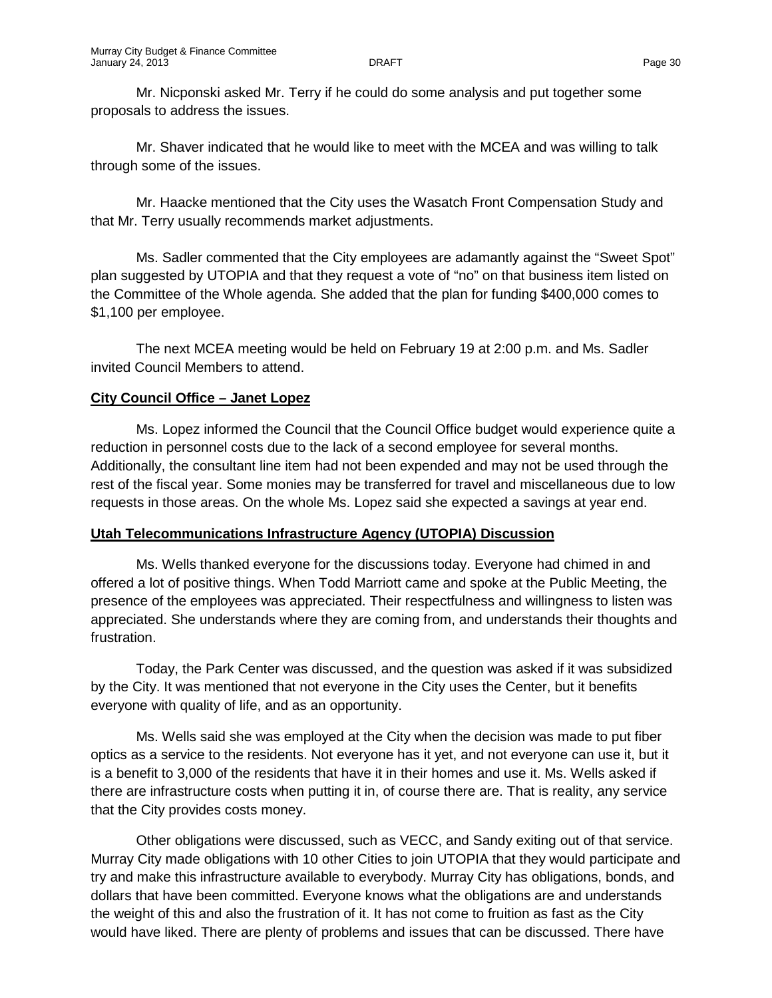Mr. Nicponski asked Mr. Terry if he could do some analysis and put together some proposals to address the issues.

Mr. Shaver indicated that he would like to meet with the MCEA and was willing to talk through some of the issues.

Mr. Haacke mentioned that the City uses the Wasatch Front Compensation Study and that Mr. Terry usually recommends market adjustments.

Ms. Sadler commented that the City employees are adamantly against the "Sweet Spot" plan suggested by UTOPIA and that they request a vote of "no" on that business item listed on the Committee of the Whole agenda. She added that the plan for funding \$400,000 comes to \$1,100 per employee.

The next MCEA meeting would be held on February 19 at 2:00 p.m. and Ms. Sadler invited Council Members to attend.

## **City Council Office – Janet Lopez**

Ms. Lopez informed the Council that the Council Office budget would experience quite a reduction in personnel costs due to the lack of a second employee for several months. Additionally, the consultant line item had not been expended and may not be used through the rest of the fiscal year. Some monies may be transferred for travel and miscellaneous due to low requests in those areas. On the whole Ms. Lopez said she expected a savings at year end.

# **Utah Telecommunications Infrastructure Agency (UTOPIA) Discussion**

Ms. Wells thanked everyone for the discussions today. Everyone had chimed in and offered a lot of positive things. When Todd Marriott came and spoke at the Public Meeting, the presence of the employees was appreciated. Their respectfulness and willingness to listen was appreciated. She understands where they are coming from, and understands their thoughts and frustration.

Today, the Park Center was discussed, and the question was asked if it was subsidized by the City. It was mentioned that not everyone in the City uses the Center, but it benefits everyone with quality of life, and as an opportunity.

Ms. Wells said she was employed at the City when the decision was made to put fiber optics as a service to the residents. Not everyone has it yet, and not everyone can use it, but it is a benefit to 3,000 of the residents that have it in their homes and use it. Ms. Wells asked if there are infrastructure costs when putting it in, of course there are. That is reality, any service that the City provides costs money.

Other obligations were discussed, such as VECC, and Sandy exiting out of that service. Murray City made obligations with 10 other Cities to join UTOPIA that they would participate and try and make this infrastructure available to everybody. Murray City has obligations, bonds, and dollars that have been committed. Everyone knows what the obligations are and understands the weight of this and also the frustration of it. It has not come to fruition as fast as the City would have liked. There are plenty of problems and issues that can be discussed. There have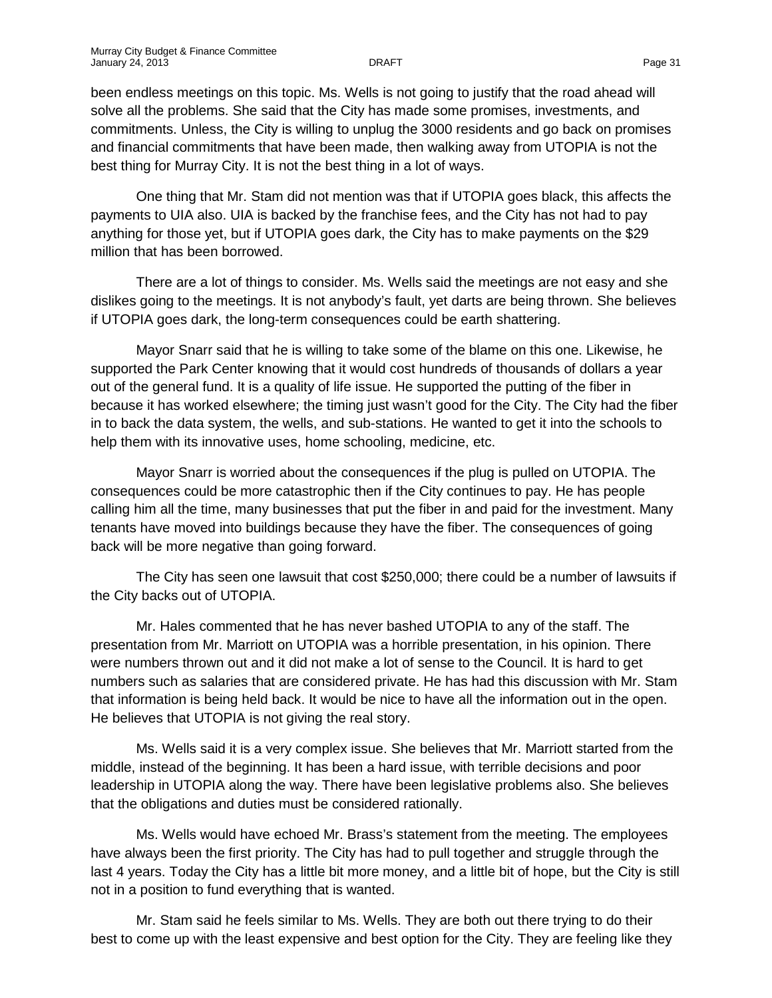been endless meetings on this topic. Ms. Wells is not going to justify that the road ahead will solve all the problems. She said that the City has made some promises, investments, and commitments. Unless, the City is willing to unplug the 3000 residents and go back on promises and financial commitments that have been made, then walking away from UTOPIA is not the best thing for Murray City. It is not the best thing in a lot of ways.

One thing that Mr. Stam did not mention was that if UTOPIA goes black, this affects the payments to UIA also. UIA is backed by the franchise fees, and the City has not had to pay anything for those yet, but if UTOPIA goes dark, the City has to make payments on the \$29 million that has been borrowed.

There are a lot of things to consider. Ms. Wells said the meetings are not easy and she dislikes going to the meetings. It is not anybody's fault, yet darts are being thrown. She believes if UTOPIA goes dark, the long-term consequences could be earth shattering.

Mayor Snarr said that he is willing to take some of the blame on this one. Likewise, he supported the Park Center knowing that it would cost hundreds of thousands of dollars a year out of the general fund. It is a quality of life issue. He supported the putting of the fiber in because it has worked elsewhere; the timing just wasn't good for the City. The City had the fiber in to back the data system, the wells, and sub-stations. He wanted to get it into the schools to help them with its innovative uses, home schooling, medicine, etc.

Mayor Snarr is worried about the consequences if the plug is pulled on UTOPIA. The consequences could be more catastrophic then if the City continues to pay. He has people calling him all the time, many businesses that put the fiber in and paid for the investment. Many tenants have moved into buildings because they have the fiber. The consequences of going back will be more negative than going forward.

The City has seen one lawsuit that cost \$250,000; there could be a number of lawsuits if the City backs out of UTOPIA.

Mr. Hales commented that he has never bashed UTOPIA to any of the staff. The presentation from Mr. Marriott on UTOPIA was a horrible presentation, in his opinion. There were numbers thrown out and it did not make a lot of sense to the Council. It is hard to get numbers such as salaries that are considered private. He has had this discussion with Mr. Stam that information is being held back. It would be nice to have all the information out in the open. He believes that UTOPIA is not giving the real story.

Ms. Wells said it is a very complex issue. She believes that Mr. Marriott started from the middle, instead of the beginning. It has been a hard issue, with terrible decisions and poor leadership in UTOPIA along the way. There have been legislative problems also. She believes that the obligations and duties must be considered rationally.

Ms. Wells would have echoed Mr. Brass's statement from the meeting. The employees have always been the first priority. The City has had to pull together and struggle through the last 4 years. Today the City has a little bit more money, and a little bit of hope, but the City is still not in a position to fund everything that is wanted.

Mr. Stam said he feels similar to Ms. Wells. They are both out there trying to do their best to come up with the least expensive and best option for the City. They are feeling like they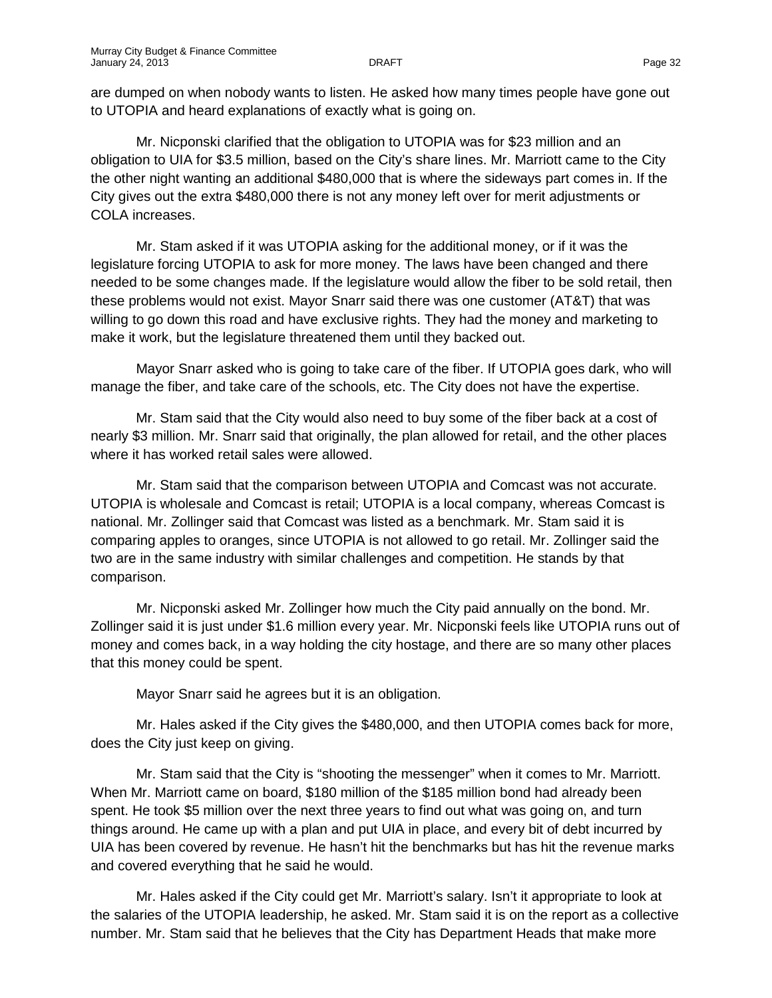are dumped on when nobody wants to listen. He asked how many times people have gone out to UTOPIA and heard explanations of exactly what is going on.

Mr. Nicponski clarified that the obligation to UTOPIA was for \$23 million and an obligation to UIA for \$3.5 million, based on the City's share lines. Mr. Marriott came to the City the other night wanting an additional \$480,000 that is where the sideways part comes in. If the City gives out the extra \$480,000 there is not any money left over for merit adjustments or COLA increases.

Mr. Stam asked if it was UTOPIA asking for the additional money, or if it was the legislature forcing UTOPIA to ask for more money. The laws have been changed and there needed to be some changes made. If the legislature would allow the fiber to be sold retail, then these problems would not exist. Mayor Snarr said there was one customer (AT&T) that was willing to go down this road and have exclusive rights. They had the money and marketing to make it work, but the legislature threatened them until they backed out.

Mayor Snarr asked who is going to take care of the fiber. If UTOPIA goes dark, who will manage the fiber, and take care of the schools, etc. The City does not have the expertise.

Mr. Stam said that the City would also need to buy some of the fiber back at a cost of nearly \$3 million. Mr. Snarr said that originally, the plan allowed for retail, and the other places where it has worked retail sales were allowed.

Mr. Stam said that the comparison between UTOPIA and Comcast was not accurate. UTOPIA is wholesale and Comcast is retail; UTOPIA is a local company, whereas Comcast is national. Mr. Zollinger said that Comcast was listed as a benchmark. Mr. Stam said it is comparing apples to oranges, since UTOPIA is not allowed to go retail. Mr. Zollinger said the two are in the same industry with similar challenges and competition. He stands by that comparison.

Mr. Nicponski asked Mr. Zollinger how much the City paid annually on the bond. Mr. Zollinger said it is just under \$1.6 million every year. Mr. Nicponski feels like UTOPIA runs out of money and comes back, in a way holding the city hostage, and there are so many other places that this money could be spent.

Mayor Snarr said he agrees but it is an obligation.

Mr. Hales asked if the City gives the \$480,000, and then UTOPIA comes back for more, does the City just keep on giving.

Mr. Stam said that the City is "shooting the messenger" when it comes to Mr. Marriott. When Mr. Marriott came on board, \$180 million of the \$185 million bond had already been spent. He took \$5 million over the next three years to find out what was going on, and turn things around. He came up with a plan and put UIA in place, and every bit of debt incurred by UIA has been covered by revenue. He hasn't hit the benchmarks but has hit the revenue marks and covered everything that he said he would.

Mr. Hales asked if the City could get Mr. Marriott's salary. Isn't it appropriate to look at the salaries of the UTOPIA leadership, he asked. Mr. Stam said it is on the report as a collective number. Mr. Stam said that he believes that the City has Department Heads that make more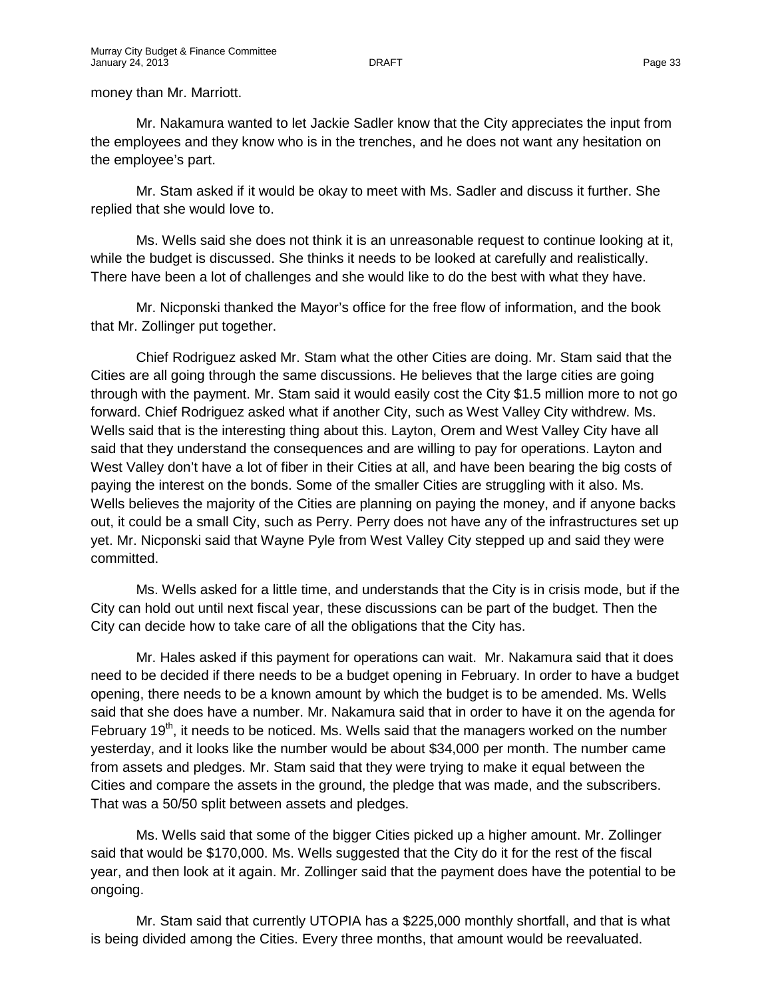#### money than Mr. Marriott.

Mr. Nakamura wanted to let Jackie Sadler know that the City appreciates the input from the employees and they know who is in the trenches, and he does not want any hesitation on the employee's part.

Mr. Stam asked if it would be okay to meet with Ms. Sadler and discuss it further. She replied that she would love to.

Ms. Wells said she does not think it is an unreasonable request to continue looking at it, while the budget is discussed. She thinks it needs to be looked at carefully and realistically. There have been a lot of challenges and she would like to do the best with what they have.

Mr. Nicponski thanked the Mayor's office for the free flow of information, and the book that Mr. Zollinger put together.

Chief Rodriguez asked Mr. Stam what the other Cities are doing. Mr. Stam said that the Cities are all going through the same discussions. He believes that the large cities are going through with the payment. Mr. Stam said it would easily cost the City \$1.5 million more to not go forward. Chief Rodriguez asked what if another City, such as West Valley City withdrew. Ms. Wells said that is the interesting thing about this. Layton, Orem and West Valley City have all said that they understand the consequences and are willing to pay for operations. Layton and West Valley don't have a lot of fiber in their Cities at all, and have been bearing the big costs of paying the interest on the bonds. Some of the smaller Cities are struggling with it also. Ms. Wells believes the majority of the Cities are planning on paying the money, and if anyone backs out, it could be a small City, such as Perry. Perry does not have any of the infrastructures set up yet. Mr. Nicponski said that Wayne Pyle from West Valley City stepped up and said they were committed.

Ms. Wells asked for a little time, and understands that the City is in crisis mode, but if the City can hold out until next fiscal year, these discussions can be part of the budget. Then the City can decide how to take care of all the obligations that the City has.

Mr. Hales asked if this payment for operations can wait. Mr. Nakamura said that it does need to be decided if there needs to be a budget opening in February. In order to have a budget opening, there needs to be a known amount by which the budget is to be amended. Ms. Wells said that she does have a number. Mr. Nakamura said that in order to have it on the agenda for February  $19<sup>th</sup>$ , it needs to be noticed. Ms. Wells said that the managers worked on the number yesterday, and it looks like the number would be about \$34,000 per month. The number came from assets and pledges. Mr. Stam said that they were trying to make it equal between the Cities and compare the assets in the ground, the pledge that was made, and the subscribers. That was a 50/50 split between assets and pledges.

Ms. Wells said that some of the bigger Cities picked up a higher amount. Mr. Zollinger said that would be \$170,000. Ms. Wells suggested that the City do it for the rest of the fiscal year, and then look at it again. Mr. Zollinger said that the payment does have the potential to be ongoing.

Mr. Stam said that currently UTOPIA has a \$225,000 monthly shortfall, and that is what is being divided among the Cities. Every three months, that amount would be reevaluated.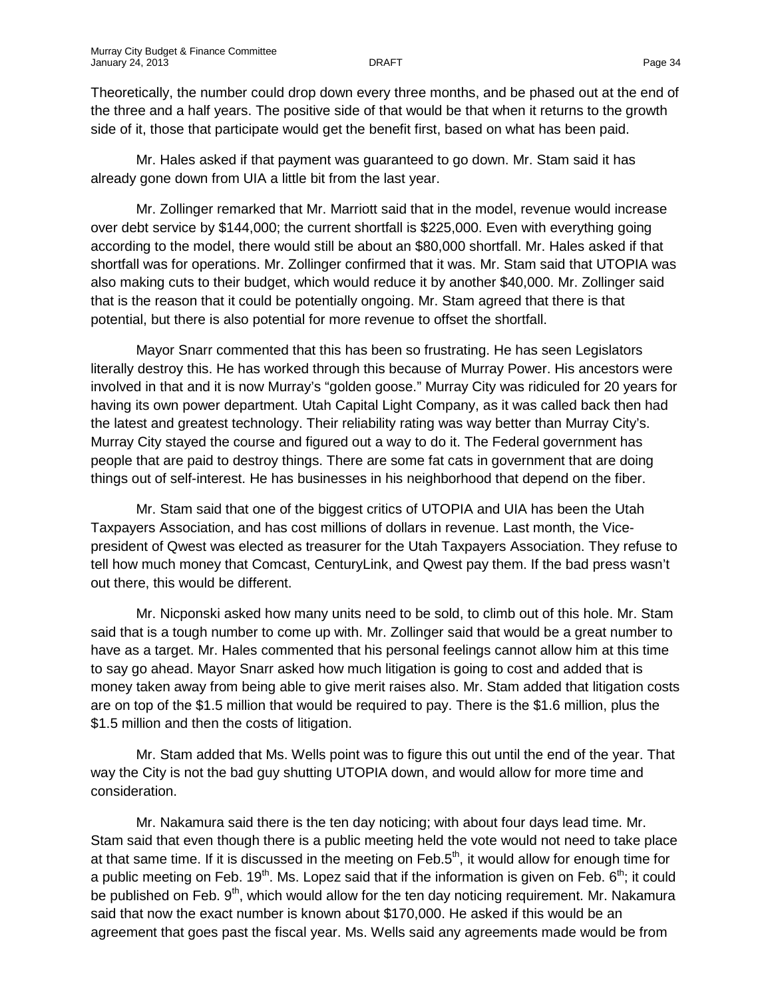Theoretically, the number could drop down every three months, and be phased out at the end of the three and a half years. The positive side of that would be that when it returns to the growth side of it, those that participate would get the benefit first, based on what has been paid.

Mr. Hales asked if that payment was guaranteed to go down. Mr. Stam said it has already gone down from UIA a little bit from the last year.

Mr. Zollinger remarked that Mr. Marriott said that in the model, revenue would increase over debt service by \$144,000; the current shortfall is \$225,000. Even with everything going according to the model, there would still be about an \$80,000 shortfall. Mr. Hales asked if that shortfall was for operations. Mr. Zollinger confirmed that it was. Mr. Stam said that UTOPIA was also making cuts to their budget, which would reduce it by another \$40,000. Mr. Zollinger said that is the reason that it could be potentially ongoing. Mr. Stam agreed that there is that potential, but there is also potential for more revenue to offset the shortfall.

Mayor Snarr commented that this has been so frustrating. He has seen Legislators literally destroy this. He has worked through this because of Murray Power. His ancestors were involved in that and it is now Murray's "golden goose." Murray City was ridiculed for 20 years for having its own power department. Utah Capital Light Company, as it was called back then had the latest and greatest technology. Their reliability rating was way better than Murray City's. Murray City stayed the course and figured out a way to do it. The Federal government has people that are paid to destroy things. There are some fat cats in government that are doing things out of self-interest. He has businesses in his neighborhood that depend on the fiber.

Mr. Stam said that one of the biggest critics of UTOPIA and UIA has been the Utah Taxpayers Association, and has cost millions of dollars in revenue. Last month, the Vicepresident of Qwest was elected as treasurer for the Utah Taxpayers Association. They refuse to tell how much money that Comcast, CenturyLink, and Qwest pay them. If the bad press wasn't out there, this would be different.

Mr. Nicponski asked how many units need to be sold, to climb out of this hole. Mr. Stam said that is a tough number to come up with. Mr. Zollinger said that would be a great number to have as a target. Mr. Hales commented that his personal feelings cannot allow him at this time to say go ahead. Mayor Snarr asked how much litigation is going to cost and added that is money taken away from being able to give merit raises also. Mr. Stam added that litigation costs are on top of the \$1.5 million that would be required to pay. There is the \$1.6 million, plus the \$1.5 million and then the costs of litigation.

Mr. Stam added that Ms. Wells point was to figure this out until the end of the year. That way the City is not the bad guy shutting UTOPIA down, and would allow for more time and consideration.

Mr. Nakamura said there is the ten day noticing; with about four days lead time. Mr. Stam said that even though there is a public meeting held the vote would not need to take place at that same time. If it is discussed in the meeting on Feb.5<sup>th</sup>, it would allow for enough time for a public meeting on Feb. 19<sup>th</sup>. Ms. Lopez said that if the information is given on Feb.  $6<sup>th</sup>$ ; it could be published on Feb. 9<sup>th</sup>, which would allow for the ten day noticing requirement. Mr. Nakamura said that now the exact number is known about \$170,000. He asked if this would be an agreement that goes past the fiscal year. Ms. Wells said any agreements made would be from